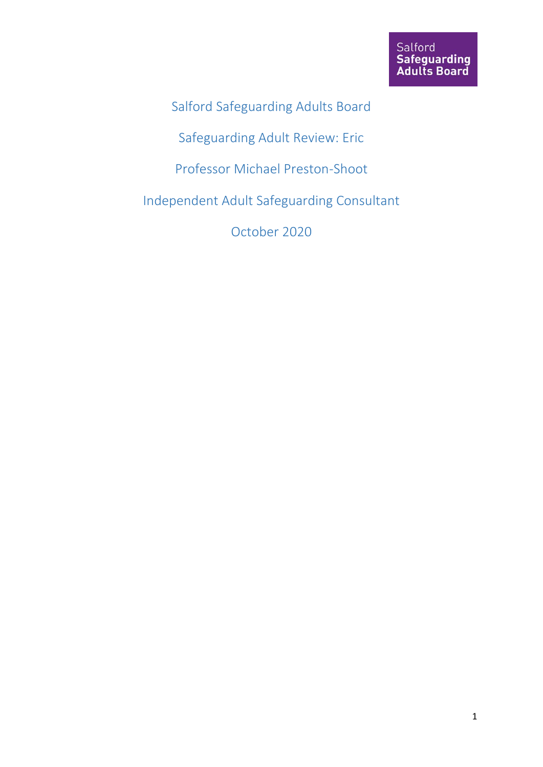Salford Safeguarding Adults Board

Safeguarding Adult Review: Eric

Professor Michael Preston-Shoot

Independent Adult Safeguarding Consultant

October 2020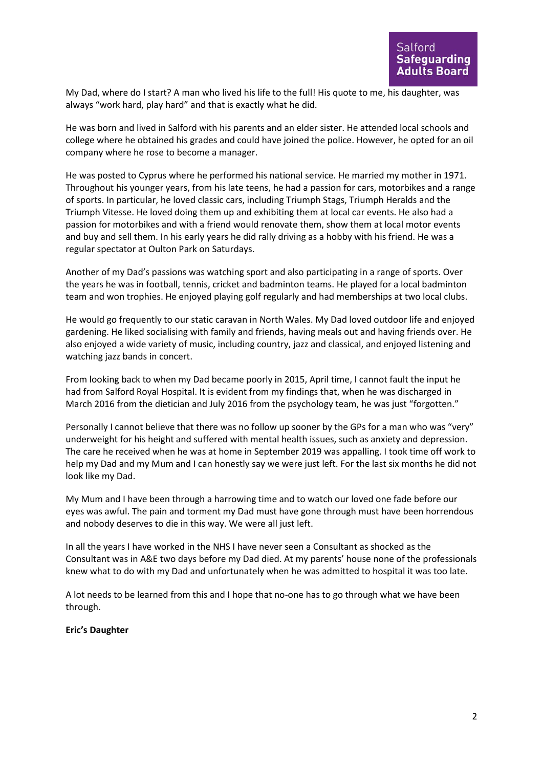My Dad, where do I start? A man who lived his life to the full! His quote to me, his daughter, was always "work hard, play hard" and that is exactly what he did.

He was born and lived in Salford with his parents and an elder sister. He attended local schools and college where he obtained his grades and could have joined the police. However, he opted for an oil company where he rose to become a manager.

He was posted to Cyprus where he performed his national service. He married my mother in 1971. Throughout his younger years, from his late teens, he had a passion for cars, motorbikes and a range of sports. In particular, he loved classic cars, including Triumph Stags, Triumph Heralds and the Triumph Vitesse. He loved doing them up and exhibiting them at local car events. He also had a passion for motorbikes and with a friend would renovate them, show them at local motor events and buy and sell them. In his early years he did rally driving as a hobby with his friend. He was a regular spectator at Oulton Park on Saturdays.

Another of my Dad's passions was watching sport and also participating in a range of sports. Over the years he was in football, tennis, cricket and badminton teams. He played for a local badminton team and won trophies. He enjoyed playing golf regularly and had memberships at two local clubs.

He would go frequently to our static caravan in North Wales. My Dad loved outdoor life and enjoyed gardening. He liked socialising with family and friends, having meals out and having friends over. He also enjoyed a wide variety of music, including country, jazz and classical, and enjoyed listening and watching jazz bands in concert.

From looking back to when my Dad became poorly in 2015, April time, I cannot fault the input he had from Salford Royal Hospital. It is evident from my findings that, when he was discharged in March 2016 from the dietician and July 2016 from the psychology team, he was just "forgotten."

Personally I cannot believe that there was no follow up sooner by the GPs for a man who was "very" underweight for his height and suffered with mental health issues, such as anxiety and depression. The care he received when he was at home in September 2019 was appalling. I took time off work to help my Dad and my Mum and I can honestly say we were just left. For the last six months he did not look like my Dad.

My Mum and I have been through a harrowing time and to watch our loved one fade before our eyes was awful. The pain and torment my Dad must have gone through must have been horrendous and nobody deserves to die in this way. We were all just left.

In all the years I have worked in the NHS I have never seen a Consultant as shocked as the Consultant was in A&E two days before my Dad died. At my parents' house none of the professionals knew what to do with my Dad and unfortunately when he was admitted to hospital it was too late.

A lot needs to be learned from this and I hope that no-one has to go through what we have been through.

**Eric's Daughter**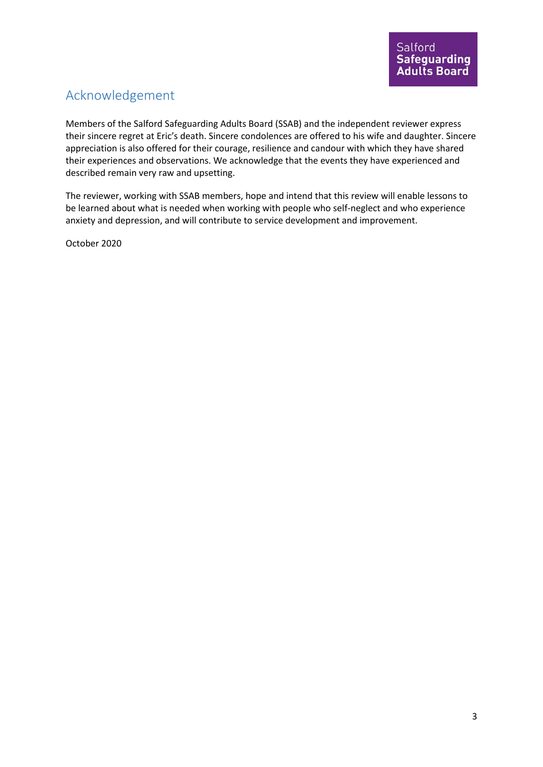# Acknowledgement

Members of the Salford Safeguarding Adults Board (SSAB) and the independent reviewer express their sincere regret at Eric's death. Sincere condolences are offered to his wife and daughter. Sincere appreciation is also offered for their courage, resilience and candour with which they have shared their experiences and observations. We acknowledge that the events they have experienced and described remain very raw and upsetting.

The reviewer, working with SSAB members, hope and intend that this review will enable lessons to be learned about what is needed when working with people who self-neglect and who experience anxiety and depression, and will contribute to service development and improvement.

October 2020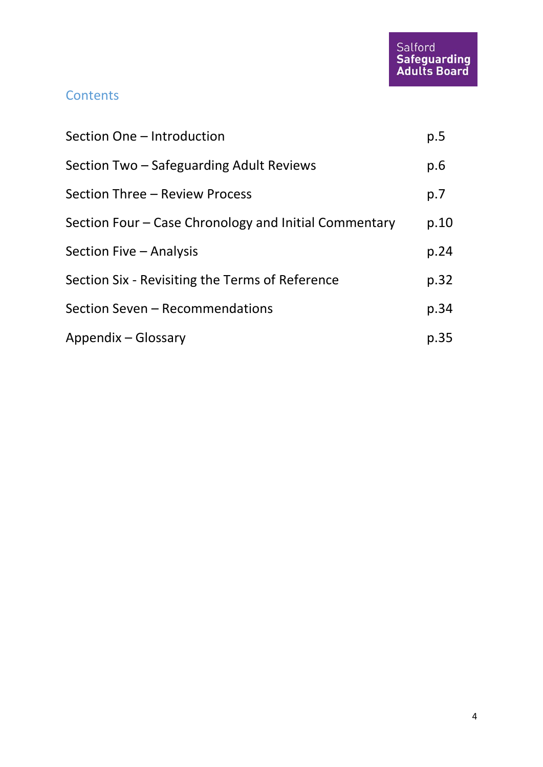## **Contents**

| Section One - Introduction                            | p.5  |
|-------------------------------------------------------|------|
| Section Two – Safeguarding Adult Reviews              | p.6  |
| Section Three - Review Process                        | p.7  |
| Section Four – Case Chronology and Initial Commentary | p.10 |
| Section Five - Analysis                               | p.24 |
| Section Six - Revisiting the Terms of Reference       | p.32 |
| Section Seven - Recommendations                       | p.34 |
| Appendix - Glossary                                   | p.35 |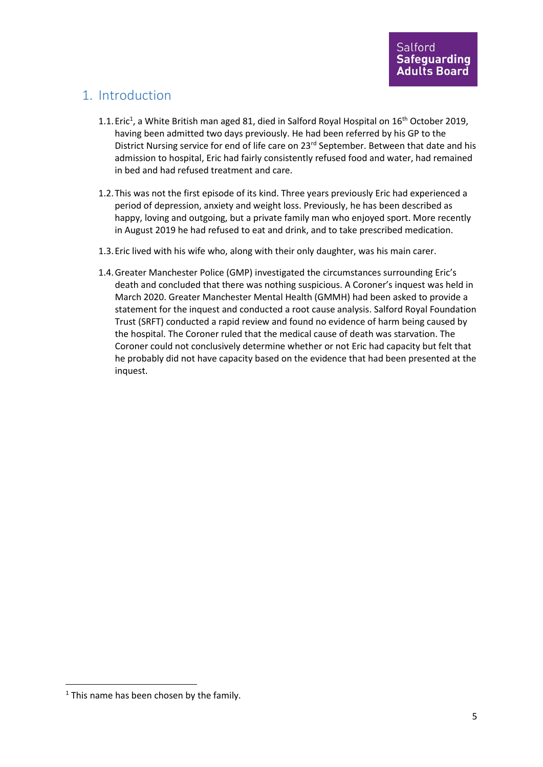## 1. Introduction

- 1.1. Eric<sup>1</sup>, a White British man aged 81, died in Salford Royal Hospital on 16<sup>th</sup> October 2019, having been admitted two days previously. He had been referred by his GP to the District Nursing service for end of life care on 23<sup>rd</sup> September. Between that date and his admission to hospital, Eric had fairly consistently refused food and water, had remained in bed and had refused treatment and care.
- 1.2.This was not the first episode of its kind. Three years previously Eric had experienced a period of depression, anxiety and weight loss. Previously, he has been described as happy, loving and outgoing, but a private family man who enjoyed sport. More recently in August 2019 he had refused to eat and drink, and to take prescribed medication.
- 1.3.Eric lived with his wife who, along with their only daughter, was his main carer.
- 1.4.Greater Manchester Police (GMP) investigated the circumstances surrounding Eric's death and concluded that there was nothing suspicious. A Coroner's inquest was held in March 2020. Greater Manchester Mental Health (GMMH) had been asked to provide a statement for the inquest and conducted a root cause analysis. Salford Royal Foundation Trust (SRFT) conducted a rapid review and found no evidence of harm being caused by the hospital. The Coroner ruled that the medical cause of death was starvation. The Coroner could not conclusively determine whether or not Eric had capacity but felt that he probably did not have capacity based on the evidence that had been presented at the inquest.

 $1$  This name has been chosen by the family.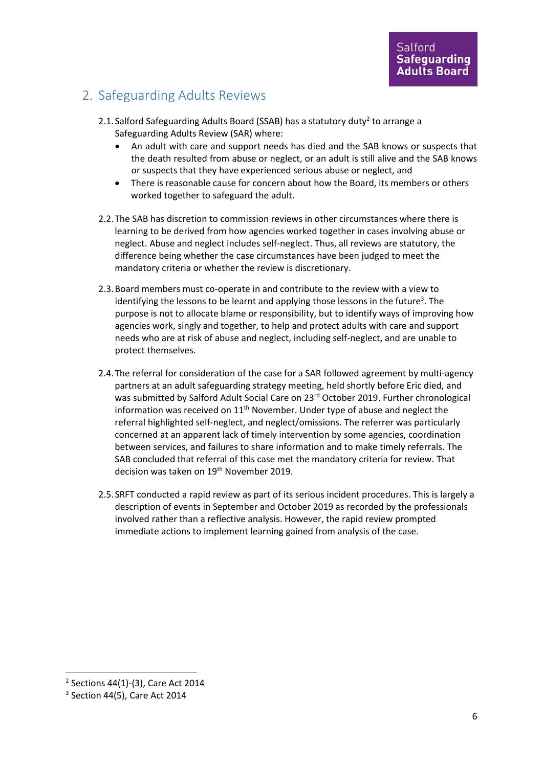## 2. Safeguarding Adults Reviews

- 2.1. Salford Safeguarding Adults Board (SSAB) has a statutory duty<sup>2</sup> to arrange a Safeguarding Adults Review (SAR) where:
	- An adult with care and support needs has died and the SAB knows or suspects that the death resulted from abuse or neglect, or an adult is still alive and the SAB knows or suspects that they have experienced serious abuse or neglect, and
	- There is reasonable cause for concern about how the Board, its members or others worked together to safeguard the adult.
- 2.2.The SAB has discretion to commission reviews in other circumstances where there is learning to be derived from how agencies worked together in cases involving abuse or neglect. Abuse and neglect includes self-neglect. Thus, all reviews are statutory, the difference being whether the case circumstances have been judged to meet the mandatory criteria or whether the review is discretionary.
- 2.3.Board members must co-operate in and contribute to the review with a view to identifying the lessons to be learnt and applying those lessons in the future<sup>3</sup>. The purpose is not to allocate blame or responsibility, but to identify ways of improving how agencies work, singly and together, to help and protect adults with care and support needs who are at risk of abuse and neglect, including self-neglect, and are unable to protect themselves.
- 2.4.The referral for consideration of the case for a SAR followed agreement by multi-agency partners at an adult safeguarding strategy meeting, held shortly before Eric died, and was submitted by Salford Adult Social Care on 23<sup>rd</sup> October 2019. Further chronological information was received on  $11<sup>th</sup>$  November. Under type of abuse and neglect the referral highlighted self-neglect, and neglect/omissions. The referrer was particularly concerned at an apparent lack of timely intervention by some agencies, coordination between services, and failures to share information and to make timely referrals. The SAB concluded that referral of this case met the mandatory criteria for review. That decision was taken on 19<sup>th</sup> November 2019.
- 2.5.SRFT conducted a rapid review as part of its serious incident procedures. This is largely a description of events in September and October 2019 as recorded by the professionals involved rather than a reflective analysis. However, the rapid review prompted immediate actions to implement learning gained from analysis of the case.

<sup>2</sup> Sections 44(1)-(3), Care Act 2014

<sup>3</sup> Section 44(5), Care Act 2014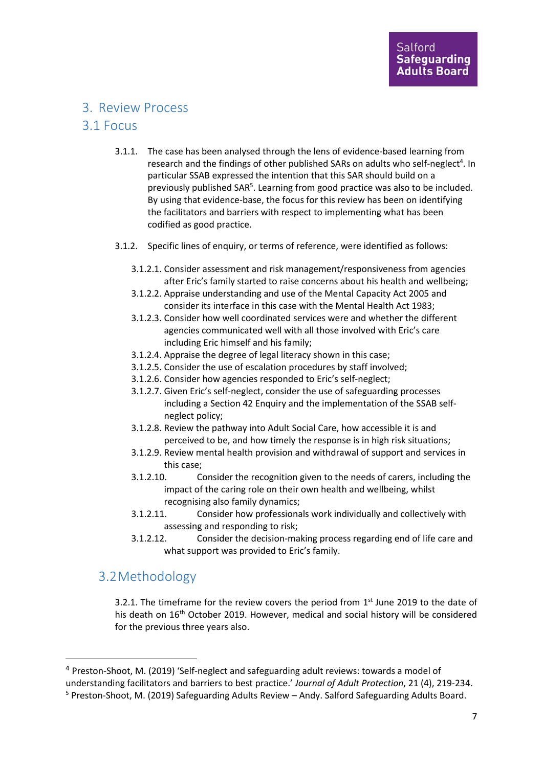#### 3. Review Process

#### 3.1 Focus

- 3.1.1. The case has been analysed through the lens of evidence-based learning from research and the findings of other published SARs on adults who self-neglect<sup>4</sup>. In particular SSAB expressed the intention that this SAR should build on a previously published SAR<sup>5</sup>. Learning from good practice was also to be included. By using that evidence-base, the focus for this review has been on identifying the facilitators and barriers with respect to implementing what has been codified as good practice.
- 3.1.2. Specific lines of enquiry, or terms of reference, were identified as follows:
	- 3.1.2.1. Consider assessment and risk management/responsiveness from agencies after Eric's family started to raise concerns about his health and wellbeing;
	- 3.1.2.2. Appraise understanding and use of the Mental Capacity Act 2005 and consider its interface in this case with the Mental Health Act 1983;
	- 3.1.2.3. Consider how well coordinated services were and whether the different agencies communicated well with all those involved with Eric's care including Eric himself and his family;
	- 3.1.2.4. Appraise the degree of legal literacy shown in this case;
	- 3.1.2.5. Consider the use of escalation procedures by staff involved;
	- 3.1.2.6. Consider how agencies responded to Eric's self-neglect;
	- 3.1.2.7. Given Eric's self-neglect, consider the use of safeguarding processes including a Section 42 Enquiry and the implementation of the SSAB selfneglect policy;
	- 3.1.2.8. Review the pathway into Adult Social Care, how accessible it is and perceived to be, and how timely the response is in high risk situations;
	- 3.1.2.9. Review mental health provision and withdrawal of support and services in this case;
	- 3.1.2.10. Consider the recognition given to the needs of carers, including the impact of the caring role on their own health and wellbeing, whilst recognising also family dynamics;
	- 3.1.2.11. Consider how professionals work individually and collectively with assessing and responding to risk;
	- 3.1.2.12. Consider the decision-making process regarding end of life care and what support was provided to Eric's family.

## 3.2Methodology

3.2.1. The timeframe for the review covers the period from  $1<sup>st</sup>$  June 2019 to the date of his death on 16<sup>th</sup> October 2019. However, medical and social history will be considered for the previous three years also.

<sup>4</sup> Preston-Shoot, M. (2019) 'Self-neglect and safeguarding adult reviews: towards a model of understanding facilitators and barriers to best practice.' *Journal of Adult Protection*, 21 (4), 219-234. <sup>5</sup> Preston-Shoot, M. (2019) Safeguarding Adults Review – Andy. Salford Safeguarding Adults Board.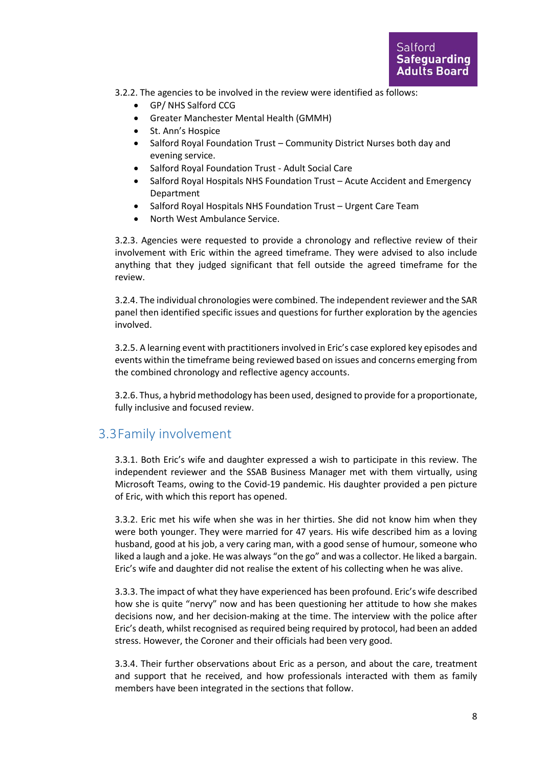3.2.2. The agencies to be involved in the review were identified as follows:

- GP/ NHS Salford CCG
- Greater Manchester Mental Health (GMMH)
- St. Ann's Hospice
- Salford Royal Foundation Trust Community District Nurses both day and evening service.
- Salford Royal Foundation Trust Adult Social Care
- Salford Royal Hospitals NHS Foundation Trust Acute Accident and Emergency Department
- Salford Royal Hospitals NHS Foundation Trust Urgent Care Team
- North West Ambulance Service.

3.2.3. Agencies were requested to provide a chronology and reflective review of their involvement with Eric within the agreed timeframe. They were advised to also include anything that they judged significant that fell outside the agreed timeframe for the review.

3.2.4. The individual chronologies were combined. The independent reviewer and the SAR panel then identified specific issues and questions for further exploration by the agencies involved.

3.2.5. A learning event with practitioners involved in Eric's case explored key episodes and events within the timeframe being reviewed based on issues and concerns emerging from the combined chronology and reflective agency accounts.

3.2.6. Thus, a hybrid methodology has been used, designed to provide for a proportionate, fully inclusive and focused review.

#### 3.3Family involvement

3.3.1. Both Eric's wife and daughter expressed a wish to participate in this review. The independent reviewer and the SSAB Business Manager met with them virtually, using Microsoft Teams, owing to the Covid-19 pandemic. His daughter provided a pen picture of Eric, with which this report has opened.

3.3.2. Eric met his wife when she was in her thirties. She did not know him when they were both younger. They were married for 47 years. His wife described him as a loving husband, good at his job, a very caring man, with a good sense of humour, someone who liked a laugh and a joke. He was always "on the go" and was a collector. He liked a bargain. Eric's wife and daughter did not realise the extent of his collecting when he was alive.

3.3.3. The impact of what they have experienced has been profound. Eric's wife described how she is quite "nervy" now and has been questioning her attitude to how she makes decisions now, and her decision-making at the time. The interview with the police after Eric's death, whilst recognised as required being required by protocol, had been an added stress. However, the Coroner and their officials had been very good.

3.3.4. Their further observations about Eric as a person, and about the care, treatment and support that he received, and how professionals interacted with them as family members have been integrated in the sections that follow.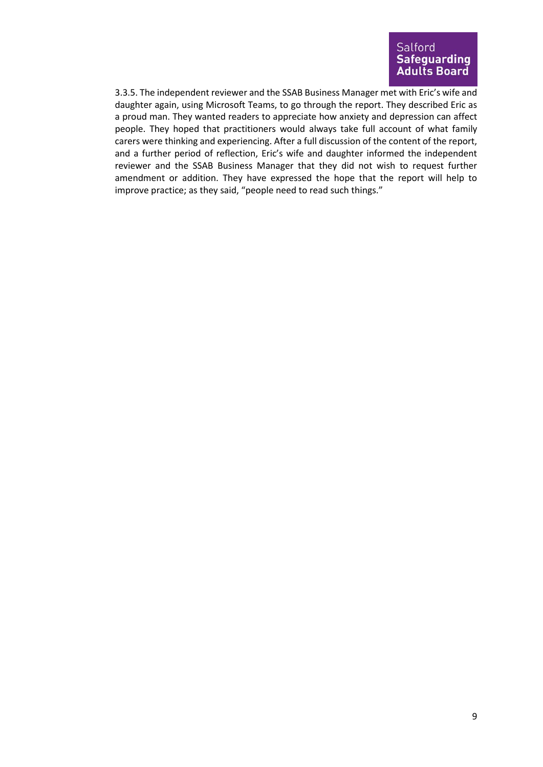3.3.5. The independent reviewer and the SSAB Business Manager met with Eric's wife and daughter again, using Microsoft Teams, to go through the report. They described Eric as a proud man. They wanted readers to appreciate how anxiety and depression can affect people. They hoped that practitioners would always take full account of what family carers were thinking and experiencing. After a full discussion of the content of the report, and a further period of reflection, Eric's wife and daughter informed the independent reviewer and the SSAB Business Manager that they did not wish to request further amendment or addition. They have expressed the hope that the report will help to improve practice; as they said, "people need to read such things."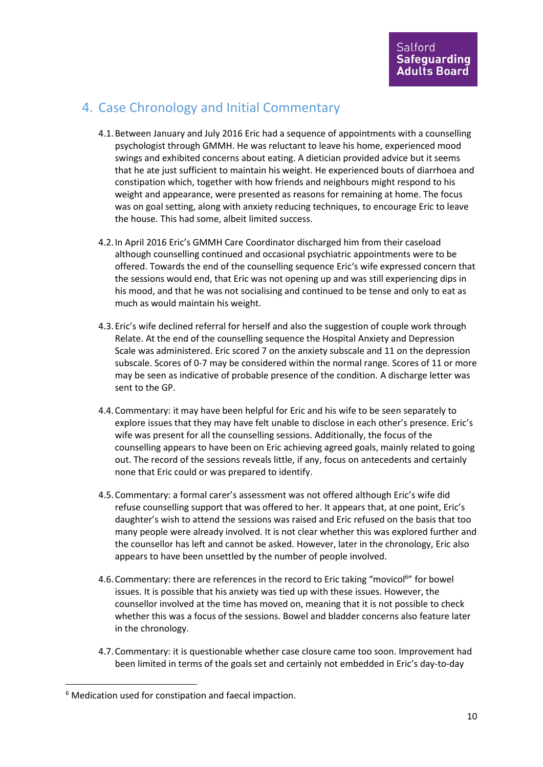## 4. Case Chronology and Initial Commentary

- 4.1.Between January and July 2016 Eric had a sequence of appointments with a counselling psychologist through GMMH. He was reluctant to leave his home, experienced mood swings and exhibited concerns about eating. A dietician provided advice but it seems that he ate just sufficient to maintain his weight. He experienced bouts of diarrhoea and constipation which, together with how friends and neighbours might respond to his weight and appearance, were presented as reasons for remaining at home. The focus was on goal setting, along with anxiety reducing techniques, to encourage Eric to leave the house. This had some, albeit limited success.
- 4.2.In April 2016 Eric's GMMH Care Coordinator discharged him from their caseload although counselling continued and occasional psychiatric appointments were to be offered. Towards the end of the counselling sequence Eric's wife expressed concern that the sessions would end, that Eric was not opening up and was still experiencing dips in his mood, and that he was not socialising and continued to be tense and only to eat as much as would maintain his weight.
- 4.3.Eric's wife declined referral for herself and also the suggestion of couple work through Relate. At the end of the counselling sequence the Hospital Anxiety and Depression Scale was administered. Eric scored 7 on the anxiety subscale and 11 on the depression subscale. Scores of 0-7 may be considered within the normal range. Scores of 11 or more may be seen as indicative of probable presence of the condition. A discharge letter was sent to the GP.
- 4.4.Commentary: it may have been helpful for Eric and his wife to be seen separately to explore issues that they may have felt unable to disclose in each other's presence. Eric's wife was present for all the counselling sessions. Additionally, the focus of the counselling appears to have been on Eric achieving agreed goals, mainly related to going out. The record of the sessions reveals little, if any, focus on antecedents and certainly none that Eric could or was prepared to identify.
- 4.5.Commentary: a formal carer's assessment was not offered although Eric's wife did refuse counselling support that was offered to her. It appears that, at one point, Eric's daughter's wish to attend the sessions was raised and Eric refused on the basis that too many people were already involved. It is not clear whether this was explored further and the counsellor has left and cannot be asked. However, later in the chronology, Eric also appears to have been unsettled by the number of people involved.
- 4.6. Commentary: there are references in the record to Eric taking "movicol<sup>6</sup>" for bowel issues. It is possible that his anxiety was tied up with these issues. However, the counsellor involved at the time has moved on, meaning that it is not possible to check whether this was a focus of the sessions. Bowel and bladder concerns also feature later in the chronology.
- 4.7.Commentary: it is questionable whether case closure came too soon. Improvement had been limited in terms of the goals set and certainly not embedded in Eric's day-to-day

<sup>&</sup>lt;sup>6</sup> Medication used for constipation and faecal impaction.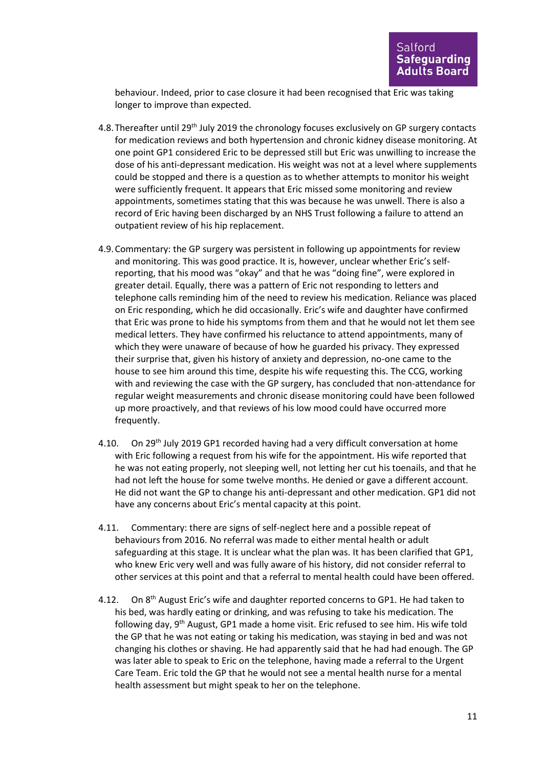behaviour. Indeed, prior to case closure it had been recognised that Eric was taking longer to improve than expected.

- 4.8. Thereafter until 29<sup>th</sup> July 2019 the chronology focuses exclusively on GP surgery contacts for medication reviews and both hypertension and chronic kidney disease monitoring. At one point GP1 considered Eric to be depressed still but Eric was unwilling to increase the dose of his anti-depressant medication. His weight was not at a level where supplements could be stopped and there is a question as to whether attempts to monitor his weight were sufficiently frequent. It appears that Eric missed some monitoring and review appointments, sometimes stating that this was because he was unwell. There is also a record of Eric having been discharged by an NHS Trust following a failure to attend an outpatient review of his hip replacement.
- 4.9.Commentary: the GP surgery was persistent in following up appointments for review and monitoring. This was good practice. It is, however, unclear whether Eric's selfreporting, that his mood was "okay" and that he was "doing fine", were explored in greater detail. Equally, there was a pattern of Eric not responding to letters and telephone calls reminding him of the need to review his medication. Reliance was placed on Eric responding, which he did occasionally. Eric's wife and daughter have confirmed that Eric was prone to hide his symptoms from them and that he would not let them see medical letters. They have confirmed his reluctance to attend appointments, many of which they were unaware of because of how he guarded his privacy. They expressed their surprise that, given his history of anxiety and depression, no-one came to the house to see him around this time, despite his wife requesting this. The CCG, working with and reviewing the case with the GP surgery, has concluded that non-attendance for regular weight measurements and chronic disease monitoring could have been followed up more proactively, and that reviews of his low mood could have occurred more frequently.
- 4.10. On 29<sup>th</sup> July 2019 GP1 recorded having had a very difficult conversation at home with Eric following a request from his wife for the appointment. His wife reported that he was not eating properly, not sleeping well, not letting her cut his toenails, and that he had not left the house for some twelve months. He denied or gave a different account. He did not want the GP to change his anti-depressant and other medication. GP1 did not have any concerns about Eric's mental capacity at this point.
- 4.11. Commentary: there are signs of self-neglect here and a possible repeat of behaviours from 2016. No referral was made to either mental health or adult safeguarding at this stage. It is unclear what the plan was. It has been clarified that GP1, who knew Eric very well and was fully aware of his history, did not consider referral to other services at this point and that a referral to mental health could have been offered.
- 4.12. On 8<sup>th</sup> August Eric's wife and daughter reported concerns to GP1. He had taken to his bed, was hardly eating or drinking, and was refusing to take his medication. The following day, 9th August, GP1 made a home visit. Eric refused to see him. His wife told the GP that he was not eating or taking his medication, was staying in bed and was not changing his clothes or shaving. He had apparently said that he had had enough. The GP was later able to speak to Eric on the telephone, having made a referral to the Urgent Care Team. Eric told the GP that he would not see a mental health nurse for a mental health assessment but might speak to her on the telephone.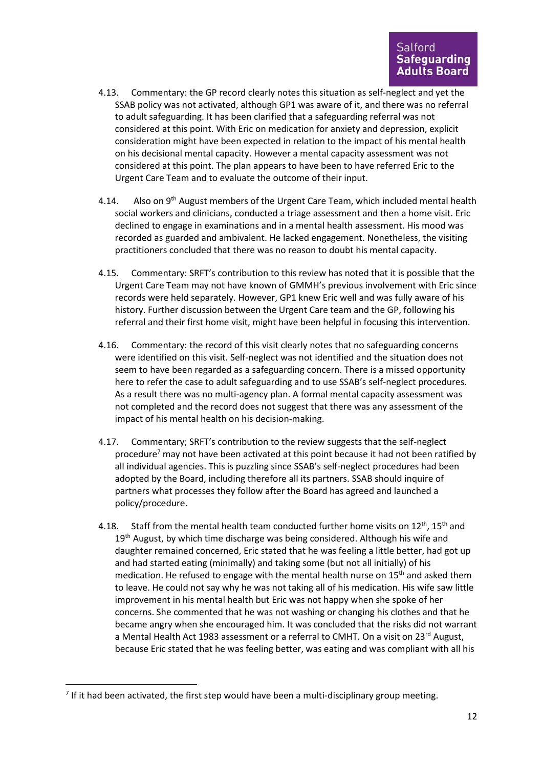- 4.13. Commentary: the GP record clearly notes this situation as self-neglect and yet the SSAB policy was not activated, although GP1 was aware of it, and there was no referral to adult safeguarding. It has been clarified that a safeguarding referral was not considered at this point. With Eric on medication for anxiety and depression, explicit consideration might have been expected in relation to the impact of his mental health on his decisional mental capacity. However a mental capacity assessment was not considered at this point. The plan appears to have been to have referred Eric to the Urgent Care Team and to evaluate the outcome of their input.
- 4.14. Also on 9<sup>th</sup> August members of the Urgent Care Team, which included mental health social workers and clinicians, conducted a triage assessment and then a home visit. Eric declined to engage in examinations and in a mental health assessment. His mood was recorded as guarded and ambivalent. He lacked engagement. Nonetheless, the visiting practitioners concluded that there was no reason to doubt his mental capacity.
- 4.15. Commentary: SRFT's contribution to this review has noted that it is possible that the Urgent Care Team may not have known of GMMH's previous involvement with Eric since records were held separately. However, GP1 knew Eric well and was fully aware of his history. Further discussion between the Urgent Care team and the GP, following his referral and their first home visit, might have been helpful in focusing this intervention.
- 4.16. Commentary: the record of this visit clearly notes that no safeguarding concerns were identified on this visit. Self-neglect was not identified and the situation does not seem to have been regarded as a safeguarding concern. There is a missed opportunity here to refer the case to adult safeguarding and to use SSAB's self-neglect procedures. As a result there was no multi-agency plan. A formal mental capacity assessment was not completed and the record does not suggest that there was any assessment of the impact of his mental health on his decision-making.
- 4.17. Commentary; SRFT's contribution to the review suggests that the self-neglect procedure<sup>7</sup> may not have been activated at this point because it had not been ratified by all individual agencies. This is puzzling since SSAB's self-neglect procedures had been adopted by the Board, including therefore all its partners. SSAB should inquire of partners what processes they follow after the Board has agreed and launched a policy/procedure.
- 4.18. Staff from the mental health team conducted further home visits on  $12^{th}$ ,  $15^{th}$  and 19<sup>th</sup> August, by which time discharge was being considered. Although his wife and daughter remained concerned, Eric stated that he was feeling a little better, had got up and had started eating (minimally) and taking some (but not all initially) of his medication. He refused to engage with the mental health nurse on  $15<sup>th</sup>$  and asked them to leave. He could not say why he was not taking all of his medication. His wife saw little improvement in his mental health but Eric was not happy when she spoke of her concerns. She commented that he was not washing or changing his clothes and that he became angry when she encouraged him. It was concluded that the risks did not warrant a Mental Health Act 1983 assessment or a referral to CMHT. On a visit on 23<sup>rd</sup> August, because Eric stated that he was feeling better, was eating and was compliant with all his

 $<sup>7</sup>$  If it had been activated, the first step would have been a multi-disciplinary group meeting.</sup>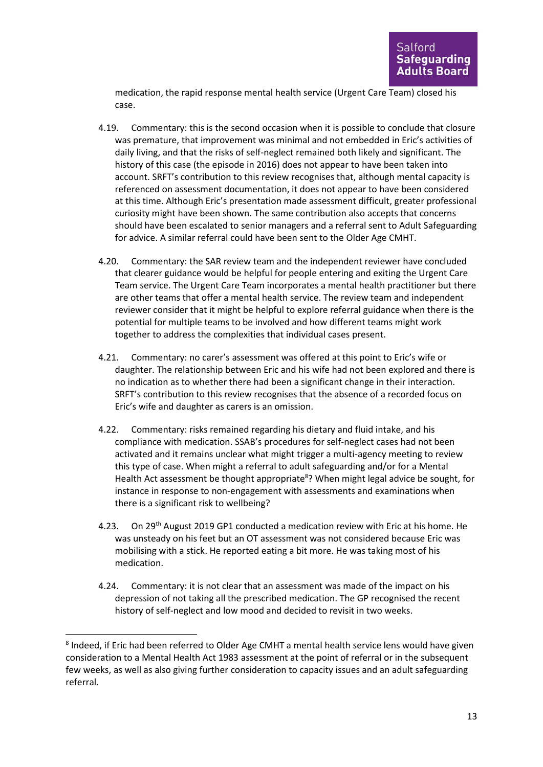medication, the rapid response mental health service (Urgent Care Team) closed his case.

- 4.19. Commentary: this is the second occasion when it is possible to conclude that closure was premature, that improvement was minimal and not embedded in Eric's activities of daily living, and that the risks of self-neglect remained both likely and significant. The history of this case (the episode in 2016) does not appear to have been taken into account. SRFT's contribution to this review recognises that, although mental capacity is referenced on assessment documentation, it does not appear to have been considered at this time. Although Eric's presentation made assessment difficult, greater professional curiosity might have been shown. The same contribution also accepts that concerns should have been escalated to senior managers and a referral sent to Adult Safeguarding for advice. A similar referral could have been sent to the Older Age CMHT.
- 4.20. Commentary: the SAR review team and the independent reviewer have concluded that clearer guidance would be helpful for people entering and exiting the Urgent Care Team service. The Urgent Care Team incorporates a mental health practitioner but there are other teams that offer a mental health service. The review team and independent reviewer consider that it might be helpful to explore referral guidance when there is the potential for multiple teams to be involved and how different teams might work together to address the complexities that individual cases present.
- 4.21. Commentary: no carer's assessment was offered at this point to Eric's wife or daughter. The relationship between Eric and his wife had not been explored and there is no indication as to whether there had been a significant change in their interaction. SRFT's contribution to this review recognises that the absence of a recorded focus on Eric's wife and daughter as carers is an omission.
- 4.22. Commentary: risks remained regarding his dietary and fluid intake, and his compliance with medication. SSAB's procedures for self-neglect cases had not been activated and it remains unclear what might trigger a multi-agency meeting to review this type of case. When might a referral to adult safeguarding and/or for a Mental Health Act assessment be thought appropriate<sup>8</sup>? When might legal advice be sought, for instance in response to non-engagement with assessments and examinations when there is a significant risk to wellbeing?
- 4.23. On 29<sup>th</sup> August 2019 GP1 conducted a medication review with Eric at his home. He was unsteady on his feet but an OT assessment was not considered because Eric was mobilising with a stick. He reported eating a bit more. He was taking most of his medication.
- 4.24. Commentary: it is not clear that an assessment was made of the impact on his depression of not taking all the prescribed medication. The GP recognised the recent history of self-neglect and low mood and decided to revisit in two weeks.

<sup>&</sup>lt;sup>8</sup> Indeed, if Eric had been referred to Older Age CMHT a mental health service lens would have given consideration to a Mental Health Act 1983 assessment at the point of referral or in the subsequent few weeks, as well as also giving further consideration to capacity issues and an adult safeguarding referral.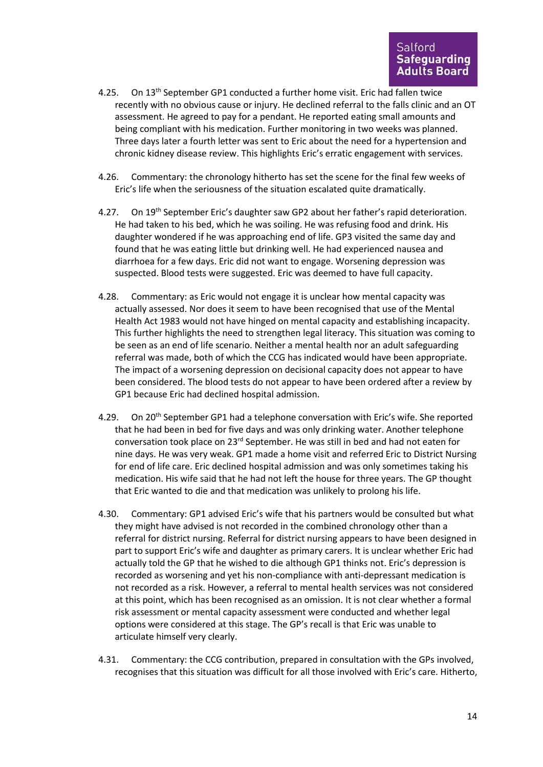- 4.25. On 13<sup>th</sup> September GP1 conducted a further home visit. Eric had fallen twice recently with no obvious cause or injury. He declined referral to the falls clinic and an OT assessment. He agreed to pay for a pendant. He reported eating small amounts and being compliant with his medication. Further monitoring in two weeks was planned. Three days later a fourth letter was sent to Eric about the need for a hypertension and chronic kidney disease review. This highlights Eric's erratic engagement with services.
- 4.26. Commentary: the chronology hitherto has set the scene for the final few weeks of Eric's life when the seriousness of the situation escalated quite dramatically.
- 4.27. On 19<sup>th</sup> September Eric's daughter saw GP2 about her father's rapid deterioration. He had taken to his bed, which he was soiling. He was refusing food and drink. His daughter wondered if he was approaching end of life. GP3 visited the same day and found that he was eating little but drinking well. He had experienced nausea and diarrhoea for a few days. Eric did not want to engage. Worsening depression was suspected. Blood tests were suggested. Eric was deemed to have full capacity.
- 4.28. Commentary: as Eric would not engage it is unclear how mental capacity was actually assessed. Nor does it seem to have been recognised that use of the Mental Health Act 1983 would not have hinged on mental capacity and establishing incapacity. This further highlights the need to strengthen legal literacy. This situation was coming to be seen as an end of life scenario. Neither a mental health nor an adult safeguarding referral was made, both of which the CCG has indicated would have been appropriate. The impact of a worsening depression on decisional capacity does not appear to have been considered. The blood tests do not appear to have been ordered after a review by GP1 because Eric had declined hospital admission.
- 4.29. On 20<sup>th</sup> September GP1 had a telephone conversation with Eric's wife. She reported that he had been in bed for five days and was only drinking water. Another telephone conversation took place on 23rd September. He was still in bed and had not eaten for nine days. He was very weak. GP1 made a home visit and referred Eric to District Nursing for end of life care. Eric declined hospital admission and was only sometimes taking his medication. His wife said that he had not left the house for three years. The GP thought that Eric wanted to die and that medication was unlikely to prolong his life.
- 4.30. Commentary: GP1 advised Eric's wife that his partners would be consulted but what they might have advised is not recorded in the combined chronology other than a referral for district nursing. Referral for district nursing appears to have been designed in part to support Eric's wife and daughter as primary carers. It is unclear whether Eric had actually told the GP that he wished to die although GP1 thinks not. Eric's depression is recorded as worsening and yet his non-compliance with anti-depressant medication is not recorded as a risk. However, a referral to mental health services was not considered at this point, which has been recognised as an omission. It is not clear whether a formal risk assessment or mental capacity assessment were conducted and whether legal options were considered at this stage. The GP's recall is that Eric was unable to articulate himself very clearly.
- 4.31. Commentary: the CCG contribution, prepared in consultation with the GPs involved, recognises that this situation was difficult for all those involved with Eric's care. Hitherto,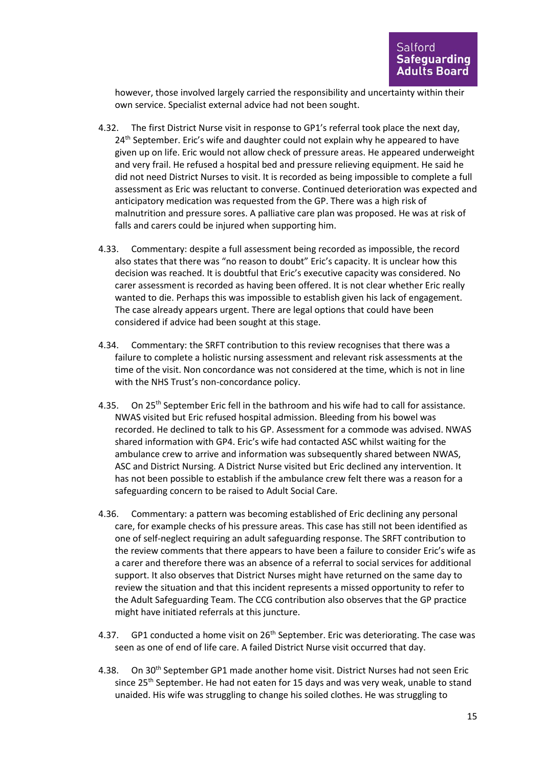however, those involved largely carried the responsibility and uncertainty within their own service. Specialist external advice had not been sought.

- 4.32. The first District Nurse visit in response to GP1's referral took place the next day, 24<sup>th</sup> September. Eric's wife and daughter could not explain why he appeared to have given up on life. Eric would not allow check of pressure areas. He appeared underweight and very frail. He refused a hospital bed and pressure relieving equipment. He said he did not need District Nurses to visit. It is recorded as being impossible to complete a full assessment as Eric was reluctant to converse. Continued deterioration was expected and anticipatory medication was requested from the GP. There was a high risk of malnutrition and pressure sores. A palliative care plan was proposed. He was at risk of falls and carers could be injured when supporting him.
- 4.33. Commentary: despite a full assessment being recorded as impossible, the record also states that there was "no reason to doubt" Eric's capacity. It is unclear how this decision was reached. It is doubtful that Eric's executive capacity was considered. No carer assessment is recorded as having been offered. It is not clear whether Eric really wanted to die. Perhaps this was impossible to establish given his lack of engagement. The case already appears urgent. There are legal options that could have been considered if advice had been sought at this stage.
- 4.34. Commentary: the SRFT contribution to this review recognises that there was a failure to complete a holistic nursing assessment and relevant risk assessments at the time of the visit. Non concordance was not considered at the time, which is not in line with the NHS Trust's non-concordance policy.
- 4.35. On 25<sup>th</sup> September Eric fell in the bathroom and his wife had to call for assistance. NWAS visited but Eric refused hospital admission. Bleeding from his bowel was recorded. He declined to talk to his GP. Assessment for a commode was advised. NWAS shared information with GP4. Eric's wife had contacted ASC whilst waiting for the ambulance crew to arrive and information was subsequently shared between NWAS, ASC and District Nursing. A District Nurse visited but Eric declined any intervention. It has not been possible to establish if the ambulance crew felt there was a reason for a safeguarding concern to be raised to Adult Social Care.
- 4.36. Commentary: a pattern was becoming established of Eric declining any personal care, for example checks of his pressure areas. This case has still not been identified as one of self-neglect requiring an adult safeguarding response. The SRFT contribution to the review comments that there appears to have been a failure to consider Eric's wife as a carer and therefore there was an absence of a referral to social services for additional support. It also observes that District Nurses might have returned on the same day to review the situation and that this incident represents a missed opportunity to refer to the Adult Safeguarding Team. The CCG contribution also observes that the GP practice might have initiated referrals at this juncture.
- 4.37. GP1 conducted a home visit on 26<sup>th</sup> September. Eric was deteriorating. The case was seen as one of end of life care. A failed District Nurse visit occurred that day.
- 4.38. On 30<sup>th</sup> September GP1 made another home visit. District Nurses had not seen Eric since 25<sup>th</sup> September. He had not eaten for 15 days and was very weak, unable to stand unaided. His wife was struggling to change his soiled clothes. He was struggling to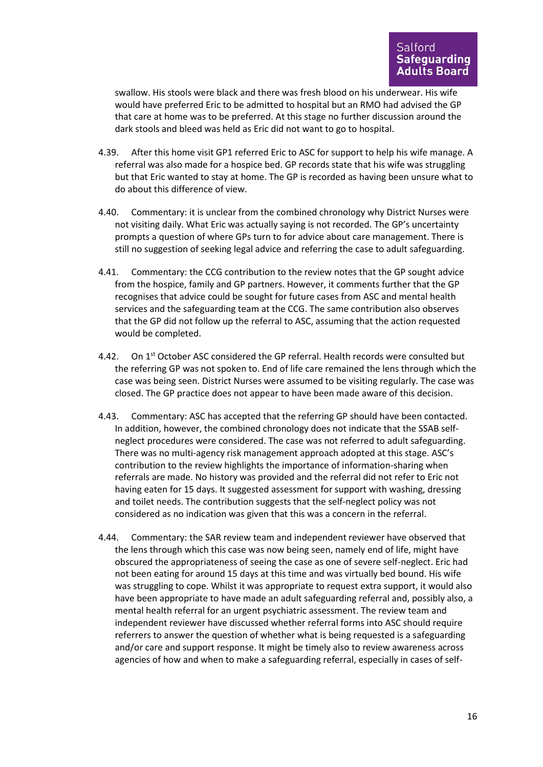swallow. His stools were black and there was fresh blood on his underwear. His wife would have preferred Eric to be admitted to hospital but an RMO had advised the GP that care at home was to be preferred. At this stage no further discussion around the dark stools and bleed was held as Eric did not want to go to hospital.

- 4.39. After this home visit GP1 referred Eric to ASC for support to help his wife manage. A referral was also made for a hospice bed. GP records state that his wife was struggling but that Eric wanted to stay at home. The GP is recorded as having been unsure what to do about this difference of view.
- 4.40. Commentary: it is unclear from the combined chronology why District Nurses were not visiting daily. What Eric was actually saying is not recorded. The GP's uncertainty prompts a question of where GPs turn to for advice about care management. There is still no suggestion of seeking legal advice and referring the case to adult safeguarding.
- 4.41. Commentary: the CCG contribution to the review notes that the GP sought advice from the hospice, family and GP partners. However, it comments further that the GP recognises that advice could be sought for future cases from ASC and mental health services and the safeguarding team at the CCG. The same contribution also observes that the GP did not follow up the referral to ASC, assuming that the action requested would be completed.
- 4.42. On 1<sup>st</sup> October ASC considered the GP referral. Health records were consulted but the referring GP was not spoken to. End of life care remained the lens through which the case was being seen. District Nurses were assumed to be visiting regularly. The case was closed. The GP practice does not appear to have been made aware of this decision.
- 4.43. Commentary: ASC has accepted that the referring GP should have been contacted. In addition, however, the combined chronology does not indicate that the SSAB selfneglect procedures were considered. The case was not referred to adult safeguarding. There was no multi-agency risk management approach adopted at this stage. ASC's contribution to the review highlights the importance of information-sharing when referrals are made. No history was provided and the referral did not refer to Eric not having eaten for 15 days. It suggested assessment for support with washing, dressing and toilet needs. The contribution suggests that the self-neglect policy was not considered as no indication was given that this was a concern in the referral.
- 4.44. Commentary: the SAR review team and independent reviewer have observed that the lens through which this case was now being seen, namely end of life, might have obscured the appropriateness of seeing the case as one of severe self-neglect. Eric had not been eating for around 15 days at this time and was virtually bed bound. His wife was struggling to cope. Whilst it was appropriate to request extra support, it would also have been appropriate to have made an adult safeguarding referral and, possibly also, a mental health referral for an urgent psychiatric assessment. The review team and independent reviewer have discussed whether referral forms into ASC should require referrers to answer the question of whether what is being requested is a safeguarding and/or care and support response. It might be timely also to review awareness across agencies of how and when to make a safeguarding referral, especially in cases of self-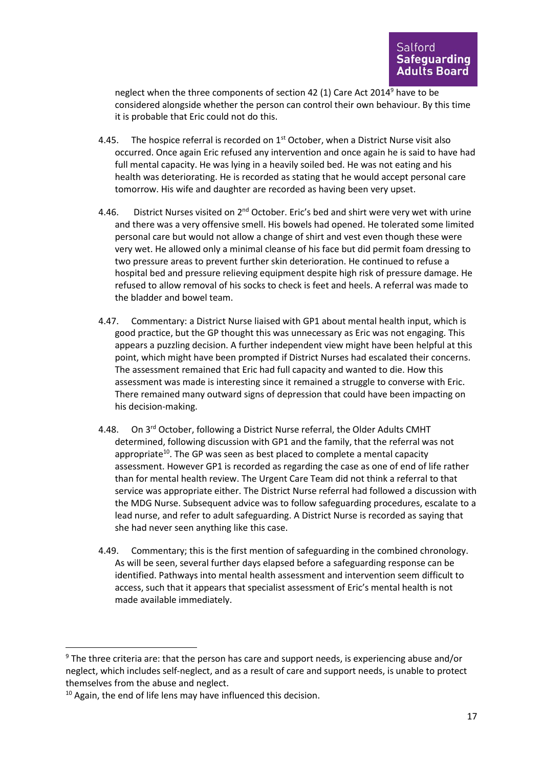neglect when the three components of section 42 (1) Care Act 2014<sup>9</sup> have to be considered alongside whether the person can control their own behaviour. By this time it is probable that Eric could not do this.

- 4.45. The hospice referral is recorded on  $1<sup>st</sup>$  October, when a District Nurse visit also occurred. Once again Eric refused any intervention and once again he is said to have had full mental capacity. He was lying in a heavily soiled bed. He was not eating and his health was deteriorating. He is recorded as stating that he would accept personal care tomorrow. His wife and daughter are recorded as having been very upset.
- 4.46. District Nurses visited on 2<sup>nd</sup> October. Eric's bed and shirt were very wet with urine and there was a very offensive smell. His bowels had opened. He tolerated some limited personal care but would not allow a change of shirt and vest even though these were very wet. He allowed only a minimal cleanse of his face but did permit foam dressing to two pressure areas to prevent further skin deterioration. He continued to refuse a hospital bed and pressure relieving equipment despite high risk of pressure damage. He refused to allow removal of his socks to check is feet and heels. A referral was made to the bladder and bowel team.
- 4.47. Commentary: a District Nurse liaised with GP1 about mental health input, which is good practice, but the GP thought this was unnecessary as Eric was not engaging. This appears a puzzling decision. A further independent view might have been helpful at this point, which might have been prompted if District Nurses had escalated their concerns. The assessment remained that Eric had full capacity and wanted to die. How this assessment was made is interesting since it remained a struggle to converse with Eric. There remained many outward signs of depression that could have been impacting on his decision-making.
- 4.48. On 3<sup>rd</sup> October, following a District Nurse referral, the Older Adults CMHT determined, following discussion with GP1 and the family, that the referral was not appropriate<sup>10</sup>. The GP was seen as best placed to complete a mental capacity assessment. However GP1 is recorded as regarding the case as one of end of life rather than for mental health review. The Urgent Care Team did not think a referral to that service was appropriate either. The District Nurse referral had followed a discussion with the MDG Nurse. Subsequent advice was to follow safeguarding procedures, escalate to a lead nurse, and refer to adult safeguarding. A District Nurse is recorded as saying that she had never seen anything like this case.
- 4.49. Commentary; this is the first mention of safeguarding in the combined chronology. As will be seen, several further days elapsed before a safeguarding response can be identified. Pathways into mental health assessment and intervention seem difficult to access, such that it appears that specialist assessment of Eric's mental health is not made available immediately.

<sup>9</sup> The three criteria are: that the person has care and support needs, is experiencing abuse and/or neglect, which includes self-neglect, and as a result of care and support needs, is unable to protect themselves from the abuse and neglect.

 $10$  Again, the end of life lens may have influenced this decision.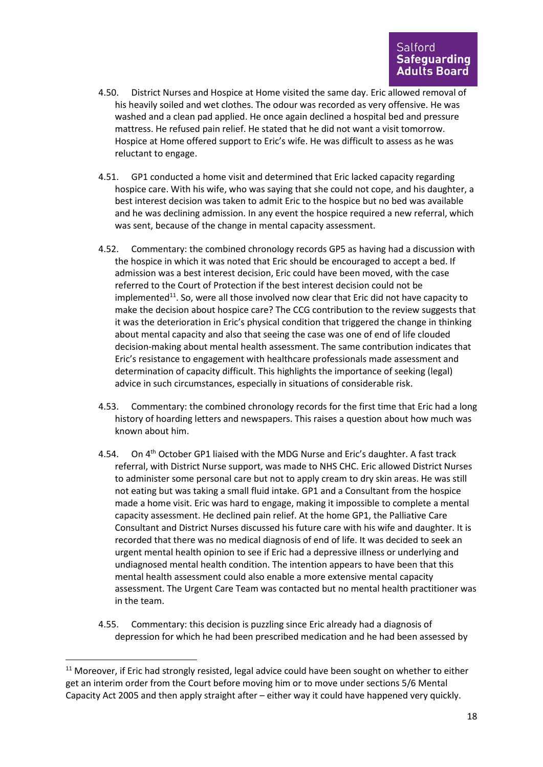- 4.50. District Nurses and Hospice at Home visited the same day. Eric allowed removal of his heavily soiled and wet clothes. The odour was recorded as very offensive. He was washed and a clean pad applied. He once again declined a hospital bed and pressure mattress. He refused pain relief. He stated that he did not want a visit tomorrow. Hospice at Home offered support to Eric's wife. He was difficult to assess as he was reluctant to engage.
- 4.51. GP1 conducted a home visit and determined that Eric lacked capacity regarding hospice care. With his wife, who was saying that she could not cope, and his daughter, a best interest decision was taken to admit Eric to the hospice but no bed was available and he was declining admission. In any event the hospice required a new referral, which was sent, because of the change in mental capacity assessment.
- 4.52. Commentary: the combined chronology records GP5 as having had a discussion with the hospice in which it was noted that Eric should be encouraged to accept a bed. If admission was a best interest decision, Eric could have been moved, with the case referred to the Court of Protection if the best interest decision could not be implemented<sup>11</sup>. So, were all those involved now clear that Eric did not have capacity to make the decision about hospice care? The CCG contribution to the review suggests that it was the deterioration in Eric's physical condition that triggered the change in thinking about mental capacity and also that seeing the case was one of end of life clouded decision-making about mental health assessment. The same contribution indicates that Eric's resistance to engagement with healthcare professionals made assessment and determination of capacity difficult. This highlights the importance of seeking (legal) advice in such circumstances, especially in situations of considerable risk.
- 4.53. Commentary: the combined chronology records for the first time that Eric had a long history of hoarding letters and newspapers. This raises a question about how much was known about him.
- 4.54. On 4<sup>th</sup> October GP1 liaised with the MDG Nurse and Eric's daughter. A fast track referral, with District Nurse support, was made to NHS CHC. Eric allowed District Nurses to administer some personal care but not to apply cream to dry skin areas. He was still not eating but was taking a small fluid intake. GP1 and a Consultant from the hospice made a home visit. Eric was hard to engage, making it impossible to complete a mental capacity assessment. He declined pain relief. At the home GP1, the Palliative Care Consultant and District Nurses discussed his future care with his wife and daughter. It is recorded that there was no medical diagnosis of end of life. It was decided to seek an urgent mental health opinion to see if Eric had a depressive illness or underlying and undiagnosed mental health condition. The intention appears to have been that this mental health assessment could also enable a more extensive mental capacity assessment. The Urgent Care Team was contacted but no mental health practitioner was in the team.
- 4.55. Commentary: this decision is puzzling since Eric already had a diagnosis of depression for which he had been prescribed medication and he had been assessed by

 $11$  Moreover, if Eric had strongly resisted, legal advice could have been sought on whether to either get an interim order from the Court before moving him or to move under sections 5/6 Mental Capacity Act 2005 and then apply straight after – either way it could have happened very quickly.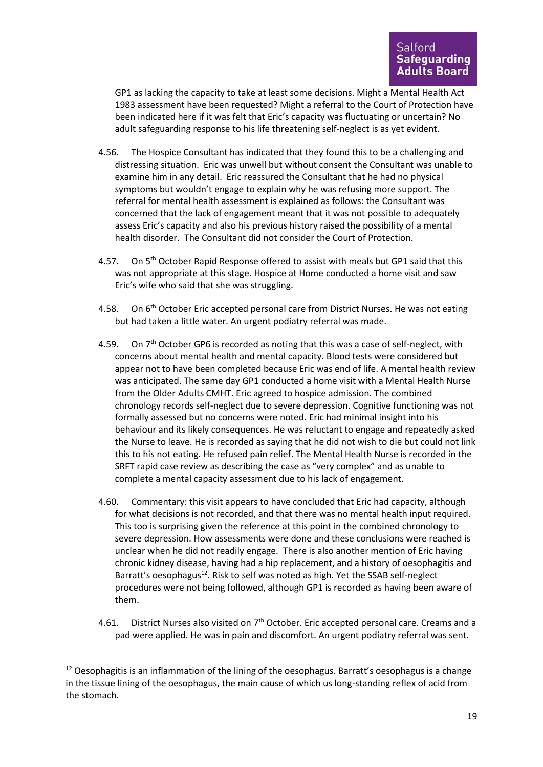GP1 as lacking the capacity to take at least some decisions. Might a Mental Health Act 1983 assessment have been requested? Might a referral to the Court of Protection have been indicated here if it was felt that Eric's capacity was fluctuating or uncertain? No adult safeguarding response to his life threatening self-neglect is as yet evident.

- 4.56. The Hospice Consultant has indicated that they found this to be a challenging and distressing situation. Eric was unwell but without consent the Consultant was unable to examine him in any detail. Eric reassured the Consultant that he had no physical symptoms but wouldn't engage to explain why he was refusing more support. The referral for mental health assessment is explained as follows: the Consultant was concerned that the lack of engagement meant that it was not possible to adequately assess Eric's capacity and also his previous history raised the possibility of a mental health disorder. The Consultant did not consider the Court of Protection.
- 4.57. On 5<sup>th</sup> October Rapid Response offered to assist with meals but GP1 said that this was not appropriate at this stage. Hospice at Home conducted a home visit and saw Eric's wife who said that she was struggling.
- 4.58. On  $6<sup>th</sup>$  October Eric accepted personal care from District Nurses. He was not eating but had taken a little water. An urgent podiatry referral was made.
- 4.59. On  $7<sup>th</sup>$  October GP6 is recorded as noting that this was a case of self-neglect, with concerns about mental health and mental capacity. Blood tests were considered but appear not to have been completed because Eric was end of life. A mental health review was anticipated. The same day GP1 conducted a home visit with a Mental Health Nurse from the Older Adults CMHT. Eric agreed to hospice admission. The combined chronology records self-neglect due to severe depression. Cognitive functioning was not formally assessed but no concerns were noted. Eric had minimal insight into his behaviour and its likely consequences. He was reluctant to engage and repeatedly asked the Nurse to leave. He is recorded as saying that he did not wish to die but could not link this to his not eating. He refused pain relief. The Mental Health Nurse is recorded in the SRFT rapid case review as describing the case as "very complex" and as unable to complete a mental capacity assessment due to his lack of engagement.
- 4.60. Commentary: this visit appears to have concluded that Eric had capacity, although for what decisions is not recorded, and that there was no mental health input required. This too is surprising given the reference at this point in the combined chronology to severe depression. How assessments were done and these conclusions were reached is unclear when he did not readily engage. There is also another mention of Eric having chronic kidney disease, having had a hip replacement, and a history of oesophagitis and Barratt's oesophagus<sup>12</sup>. Risk to self was noted as high. Yet the SSAB self-neglect procedures were not being followed, although GP1 is recorded as having been aware of them.
- 4.61. District Nurses also visited on 7<sup>th</sup> October. Eric accepted personal care. Creams and a pad were applied. He was in pain and discomfort. An urgent podiatry referral was sent.

 $12$  Oesophagitis is an inflammation of the lining of the oesophagus. Barratt's oesophagus is a change in the tissue lining of the oesophagus, the main cause of which us long-standing reflex of acid from the stomach.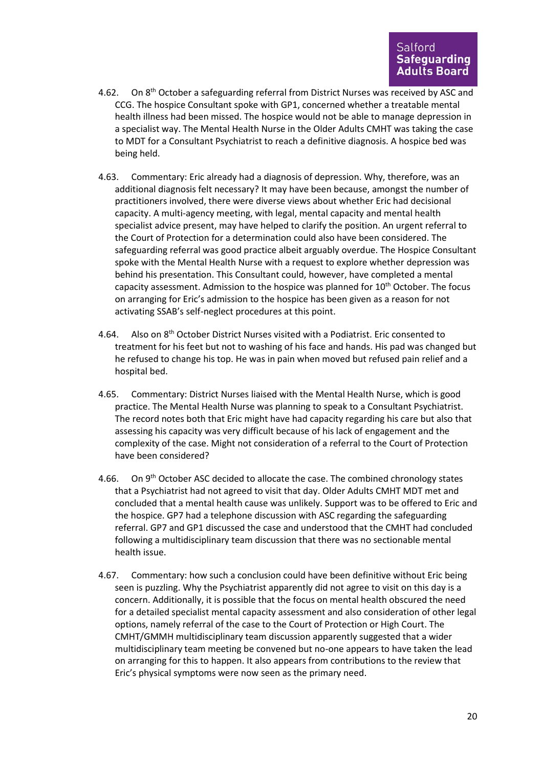- 4.62. On 8<sup>th</sup> October a safeguarding referral from District Nurses was received by ASC and CCG. The hospice Consultant spoke with GP1, concerned whether a treatable mental health illness had been missed. The hospice would not be able to manage depression in a specialist way. The Mental Health Nurse in the Older Adults CMHT was taking the case to MDT for a Consultant Psychiatrist to reach a definitive diagnosis. A hospice bed was being held.
- 4.63. Commentary: Eric already had a diagnosis of depression. Why, therefore, was an additional diagnosis felt necessary? It may have been because, amongst the number of practitioners involved, there were diverse views about whether Eric had decisional capacity. A multi-agency meeting, with legal, mental capacity and mental health specialist advice present, may have helped to clarify the position. An urgent referral to the Court of Protection for a determination could also have been considered. The safeguarding referral was good practice albeit arguably overdue. The Hospice Consultant spoke with the Mental Health Nurse with a request to explore whether depression was behind his presentation. This Consultant could, however, have completed a mental capacity assessment. Admission to the hospice was planned for  $10<sup>th</sup>$  October. The focus on arranging for Eric's admission to the hospice has been given as a reason for not activating SSAB's self-neglect procedures at this point.
- 4.64. Also on 8th October District Nurses visited with a Podiatrist. Eric consented to treatment for his feet but not to washing of his face and hands. His pad was changed but he refused to change his top. He was in pain when moved but refused pain relief and a hospital bed.
- 4.65. Commentary: District Nurses liaised with the Mental Health Nurse, which is good practice. The Mental Health Nurse was planning to speak to a Consultant Psychiatrist. The record notes both that Eric might have had capacity regarding his care but also that assessing his capacity was very difficult because of his lack of engagement and the complexity of the case. Might not consideration of a referral to the Court of Protection have been considered?
- 4.66. On 9<sup>th</sup> October ASC decided to allocate the case. The combined chronology states that a Psychiatrist had not agreed to visit that day. Older Adults CMHT MDT met and concluded that a mental health cause was unlikely. Support was to be offered to Eric and the hospice. GP7 had a telephone discussion with ASC regarding the safeguarding referral. GP7 and GP1 discussed the case and understood that the CMHT had concluded following a multidisciplinary team discussion that there was no sectionable mental health issue.
- 4.67. Commentary: how such a conclusion could have been definitive without Eric being seen is puzzling. Why the Psychiatrist apparently did not agree to visit on this day is a concern. Additionally, it is possible that the focus on mental health obscured the need for a detailed specialist mental capacity assessment and also consideration of other legal options, namely referral of the case to the Court of Protection or High Court. The CMHT/GMMH multidisciplinary team discussion apparently suggested that a wider multidisciplinary team meeting be convened but no-one appears to have taken the lead on arranging for this to happen. It also appears from contributions to the review that Eric's physical symptoms were now seen as the primary need.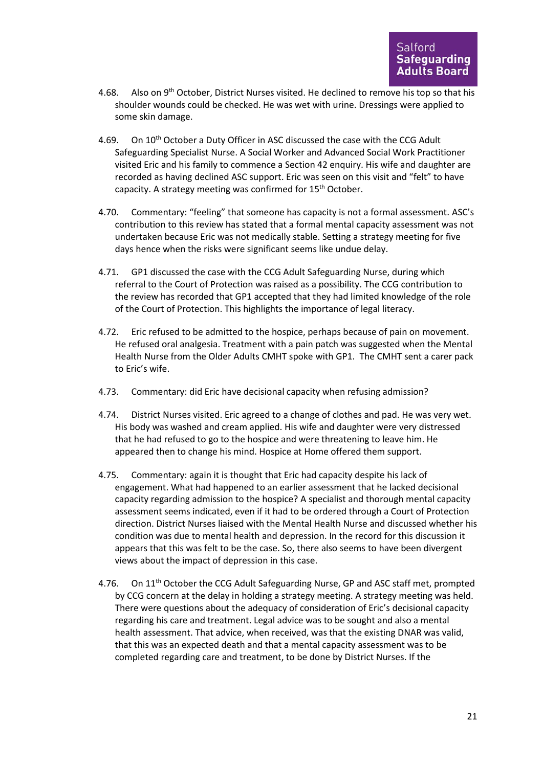- 4.68. Also on 9<sup>th</sup> October, District Nurses visited. He declined to remove his top so that his shoulder wounds could be checked. He was wet with urine. Dressings were applied to some skin damage.
- 4.69. On 10<sup>th</sup> October a Duty Officer in ASC discussed the case with the CCG Adult Safeguarding Specialist Nurse. A Social Worker and Advanced Social Work Practitioner visited Eric and his family to commence a Section 42 enquiry. His wife and daughter are recorded as having declined ASC support. Eric was seen on this visit and "felt" to have capacity. A strategy meeting was confirmed for 15<sup>th</sup> October.
- 4.70. Commentary: "feeling" that someone has capacity is not a formal assessment. ASC's contribution to this review has stated that a formal mental capacity assessment was not undertaken because Eric was not medically stable. Setting a strategy meeting for five days hence when the risks were significant seems like undue delay.
- 4.71. GP1 discussed the case with the CCG Adult Safeguarding Nurse, during which referral to the Court of Protection was raised as a possibility. The CCG contribution to the review has recorded that GP1 accepted that they had limited knowledge of the role of the Court of Protection. This highlights the importance of legal literacy.
- 4.72. Eric refused to be admitted to the hospice, perhaps because of pain on movement. He refused oral analgesia. Treatment with a pain patch was suggested when the Mental Health Nurse from the Older Adults CMHT spoke with GP1. The CMHT sent a carer pack to Eric's wife.
- 4.73. Commentary: did Eric have decisional capacity when refusing admission?
- 4.74. District Nurses visited. Eric agreed to a change of clothes and pad. He was very wet. His body was washed and cream applied. His wife and daughter were very distressed that he had refused to go to the hospice and were threatening to leave him. He appeared then to change his mind. Hospice at Home offered them support.
- 4.75. Commentary: again it is thought that Eric had capacity despite his lack of engagement. What had happened to an earlier assessment that he lacked decisional capacity regarding admission to the hospice? A specialist and thorough mental capacity assessment seems indicated, even if it had to be ordered through a Court of Protection direction. District Nurses liaised with the Mental Health Nurse and discussed whether his condition was due to mental health and depression. In the record for this discussion it appears that this was felt to be the case. So, there also seems to have been divergent views about the impact of depression in this case.
- 4.76. On 11<sup>th</sup> October the CCG Adult Safeguarding Nurse, GP and ASC staff met, prompted by CCG concern at the delay in holding a strategy meeting. A strategy meeting was held. There were questions about the adequacy of consideration of Eric's decisional capacity regarding his care and treatment. Legal advice was to be sought and also a mental health assessment. That advice, when received, was that the existing DNAR was valid, that this was an expected death and that a mental capacity assessment was to be completed regarding care and treatment, to be done by District Nurses. If the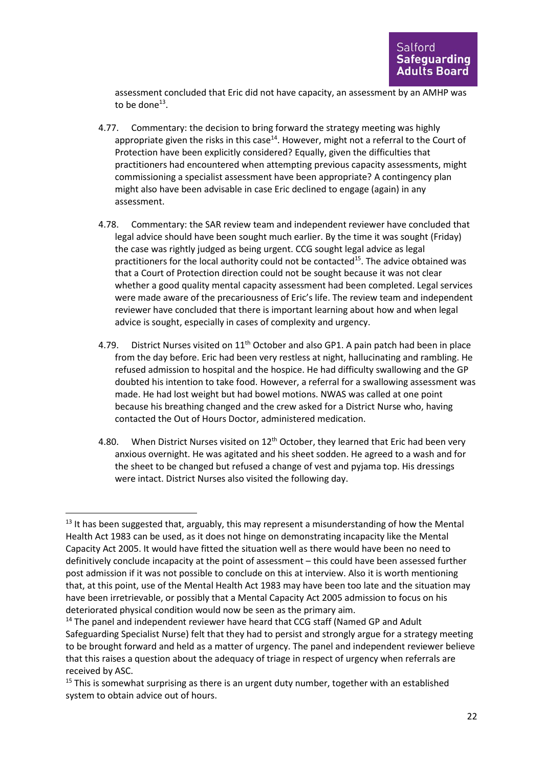assessment concluded that Eric did not have capacity, an assessment by an AMHP was to be done $^{13}$ .

- 4.77. Commentary: the decision to bring forward the strategy meeting was highly appropriate given the risks in this case $^{14}$ . However, might not a referral to the Court of Protection have been explicitly considered? Equally, given the difficulties that practitioners had encountered when attempting previous capacity assessments, might commissioning a specialist assessment have been appropriate? A contingency plan might also have been advisable in case Eric declined to engage (again) in any assessment.
- 4.78. Commentary: the SAR review team and independent reviewer have concluded that legal advice should have been sought much earlier. By the time it was sought (Friday) the case was rightly judged as being urgent. CCG sought legal advice as legal practitioners for the local authority could not be contacted<sup>15</sup>. The advice obtained was that a Court of Protection direction could not be sought because it was not clear whether a good quality mental capacity assessment had been completed. Legal services were made aware of the precariousness of Eric's life. The review team and independent reviewer have concluded that there is important learning about how and when legal advice is sought, especially in cases of complexity and urgency.
- 4.79. District Nurses visited on 11<sup>th</sup> October and also GP1. A pain patch had been in place from the day before. Eric had been very restless at night, hallucinating and rambling. He refused admission to hospital and the hospice. He had difficulty swallowing and the GP doubted his intention to take food. However, a referral for a swallowing assessment was made. He had lost weight but had bowel motions. NWAS was called at one point because his breathing changed and the crew asked for a District Nurse who, having contacted the Out of Hours Doctor, administered medication.
- 4.80. When District Nurses visited on  $12<sup>th</sup>$  October, they learned that Eric had been very anxious overnight. He was agitated and his sheet sodden. He agreed to a wash and for the sheet to be changed but refused a change of vest and pyjama top. His dressings were intact. District Nurses also visited the following day.

 $13$  It has been suggested that, arguably, this may represent a misunderstanding of how the Mental Health Act 1983 can be used, as it does not hinge on demonstrating incapacity like the Mental Capacity Act 2005. It would have fitted the situation well as there would have been no need to definitively conclude incapacity at the point of assessment – this could have been assessed further post admission if it was not possible to conclude on this at interview. Also it is worth mentioning that, at this point, use of the Mental Health Act 1983 may have been too late and the situation may have been irretrievable, or possibly that a Mental Capacity Act 2005 admission to focus on his deteriorated physical condition would now be seen as the primary aim.

<sup>&</sup>lt;sup>14</sup> The panel and independent reviewer have heard that CCG staff (Named GP and Adult Safeguarding Specialist Nurse) felt that they had to persist and strongly argue for a strategy meeting to be brought forward and held as a matter of urgency. The panel and independent reviewer believe that this raises a question about the adequacy of triage in respect of urgency when referrals are received by ASC.

 $15$  This is somewhat surprising as there is an urgent duty number, together with an established system to obtain advice out of hours.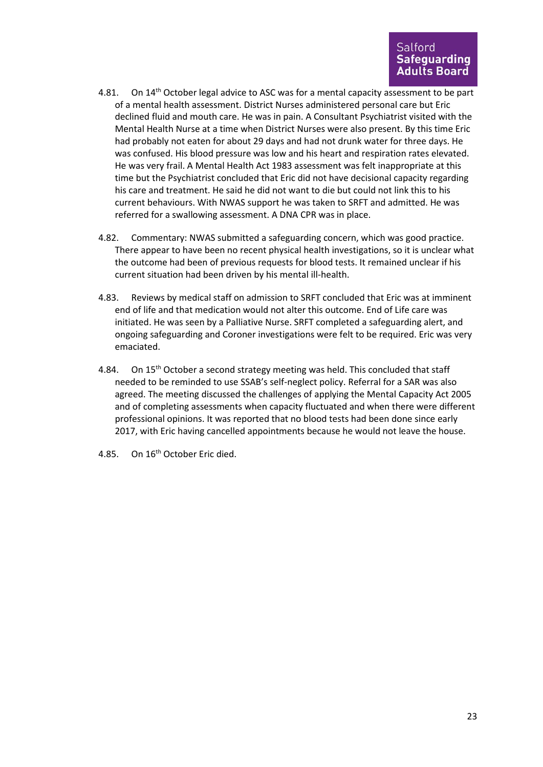- 4.81. On 14<sup>th</sup> October legal advice to ASC was for a mental capacity assessment to be part of a mental health assessment. District Nurses administered personal care but Eric declined fluid and mouth care. He was in pain. A Consultant Psychiatrist visited with the Mental Health Nurse at a time when District Nurses were also present. By this time Eric had probably not eaten for about 29 days and had not drunk water for three days. He was confused. His blood pressure was low and his heart and respiration rates elevated. He was very frail. A Mental Health Act 1983 assessment was felt inappropriate at this time but the Psychiatrist concluded that Eric did not have decisional capacity regarding his care and treatment. He said he did not want to die but could not link this to his current behaviours. With NWAS support he was taken to SRFT and admitted. He was referred for a swallowing assessment. A DNA CPR was in place.
- 4.82. Commentary: NWAS submitted a safeguarding concern, which was good practice. There appear to have been no recent physical health investigations, so it is unclear what the outcome had been of previous requests for blood tests. It remained unclear if his current situation had been driven by his mental ill-health.
- 4.83. Reviews by medical staff on admission to SRFT concluded that Eric was at imminent end of life and that medication would not alter this outcome. End of Life care was initiated. He was seen by a Palliative Nurse. SRFT completed a safeguarding alert, and ongoing safeguarding and Coroner investigations were felt to be required. Eric was very emaciated.
- 4.84. On 15<sup>th</sup> October a second strategy meeting was held. This concluded that staff needed to be reminded to use SSAB's self-neglect policy. Referral for a SAR was also agreed. The meeting discussed the challenges of applying the Mental Capacity Act 2005 and of completing assessments when capacity fluctuated and when there were different professional opinions. It was reported that no blood tests had been done since early 2017, with Eric having cancelled appointments because he would not leave the house.
- 4.85. On 16<sup>th</sup> October Eric died.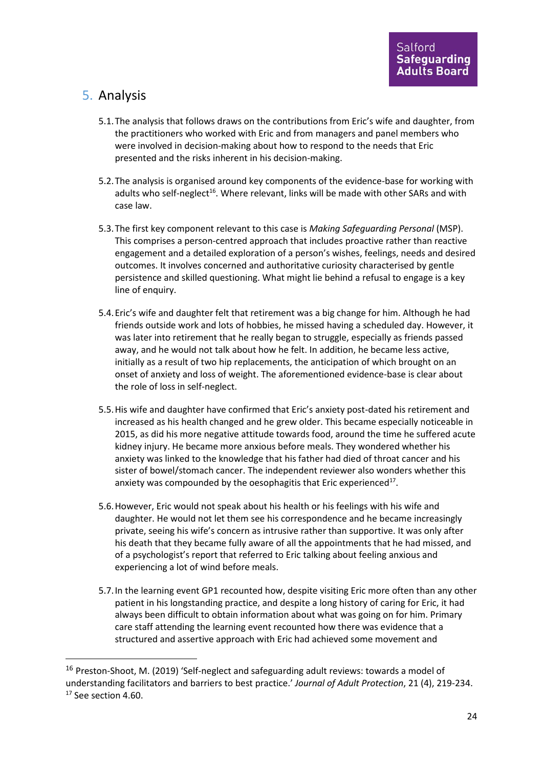## 5. Analysis

- 5.1.The analysis that follows draws on the contributions from Eric's wife and daughter, from the practitioners who worked with Eric and from managers and panel members who were involved in decision-making about how to respond to the needs that Eric presented and the risks inherent in his decision-making.
- 5.2.The analysis is organised around key components of the evidence-base for working with adults who self-neglect<sup>16</sup>. Where relevant, links will be made with other SARs and with case law.
- 5.3.The first key component relevant to this case is *Making Safeguarding Personal* (MSP). This comprises a person-centred approach that includes proactive rather than reactive engagement and a detailed exploration of a person's wishes, feelings, needs and desired outcomes. It involves concerned and authoritative curiosity characterised by gentle persistence and skilled questioning. What might lie behind a refusal to engage is a key line of enquiry.
- 5.4.Eric's wife and daughter felt that retirement was a big change for him. Although he had friends outside work and lots of hobbies, he missed having a scheduled day. However, it was later into retirement that he really began to struggle, especially as friends passed away, and he would not talk about how he felt. In addition, he became less active, initially as a result of two hip replacements, the anticipation of which brought on an onset of anxiety and loss of weight. The aforementioned evidence-base is clear about the role of loss in self-neglect.
- 5.5.His wife and daughter have confirmed that Eric's anxiety post-dated his retirement and increased as his health changed and he grew older. This became especially noticeable in 2015, as did his more negative attitude towards food, around the time he suffered acute kidney injury. He became more anxious before meals. They wondered whether his anxiety was linked to the knowledge that his father had died of throat cancer and his sister of bowel/stomach cancer. The independent reviewer also wonders whether this anxiety was compounded by the oesophagitis that Eric experienced<sup>17</sup>.
- 5.6.However, Eric would not speak about his health or his feelings with his wife and daughter. He would not let them see his correspondence and he became increasingly private, seeing his wife's concern as intrusive rather than supportive. It was only after his death that they became fully aware of all the appointments that he had missed, and of a psychologist's report that referred to Eric talking about feeling anxious and experiencing a lot of wind before meals.
- 5.7.In the learning event GP1 recounted how, despite visiting Eric more often than any other patient in his longstanding practice, and despite a long history of caring for Eric, it had always been difficult to obtain information about what was going on for him. Primary care staff attending the learning event recounted how there was evidence that a structured and assertive approach with Eric had achieved some movement and

<sup>&</sup>lt;sup>16</sup> Preston-Shoot, M. (2019) 'Self-neglect and safeguarding adult reviews: towards a model of understanding facilitators and barriers to best practice.' *Journal of Adult Protection*, 21 (4), 219-234. <sup>17</sup> See section 4.60.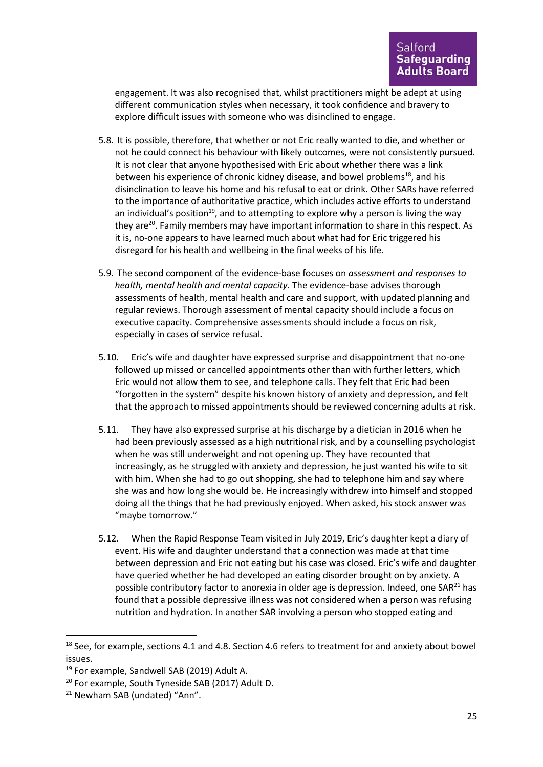engagement. It was also recognised that, whilst practitioners might be adept at using different communication styles when necessary, it took confidence and bravery to explore difficult issues with someone who was disinclined to engage.

- 5.8. It is possible, therefore, that whether or not Eric really wanted to die, and whether or not he could connect his behaviour with likely outcomes, were not consistently pursued. It is not clear that anyone hypothesised with Eric about whether there was a link between his experience of chronic kidney disease, and bowel problems<sup>18</sup>, and his disinclination to leave his home and his refusal to eat or drink. Other SARs have referred to the importance of authoritative practice, which includes active efforts to understand an individual's position<sup>19</sup>, and to attempting to explore why a person is living the way they are<sup>20</sup>. Family members may have important information to share in this respect. As it is, no-one appears to have learned much about what had for Eric triggered his disregard for his health and wellbeing in the final weeks of his life.
- 5.9. The second component of the evidence-base focuses on *assessment and responses to health, mental health and mental capacity*. The evidence-base advises thorough assessments of health, mental health and care and support, with updated planning and regular reviews. Thorough assessment of mental capacity should include a focus on executive capacity. Comprehensive assessments should include a focus on risk, especially in cases of service refusal.
- 5.10. Eric's wife and daughter have expressed surprise and disappointment that no-one followed up missed or cancelled appointments other than with further letters, which Eric would not allow them to see, and telephone calls. They felt that Eric had been "forgotten in the system" despite his known history of anxiety and depression, and felt that the approach to missed appointments should be reviewed concerning adults at risk.
- 5.11. They have also expressed surprise at his discharge by a dietician in 2016 when he had been previously assessed as a high nutritional risk, and by a counselling psychologist when he was still underweight and not opening up. They have recounted that increasingly, as he struggled with anxiety and depression, he just wanted his wife to sit with him. When she had to go out shopping, she had to telephone him and say where she was and how long she would be. He increasingly withdrew into himself and stopped doing all the things that he had previously enjoyed. When asked, his stock answer was "maybe tomorrow."
- 5.12. When the Rapid Response Team visited in July 2019, Eric's daughter kept a diary of event. His wife and daughter understand that a connection was made at that time between depression and Eric not eating but his case was closed. Eric's wife and daughter have queried whether he had developed an eating disorder brought on by anxiety. A possible contributory factor to anorexia in older age is depression. Indeed, one  $SAR<sup>21</sup>$  has found that a possible depressive illness was not considered when a person was refusing nutrition and hydration. In another SAR involving a person who stopped eating and

 $18$  See, for example, sections 4.1 and 4.8. Section 4.6 refers to treatment for and anxiety about bowel issues.

<sup>&</sup>lt;sup>19</sup> For example, Sandwell SAB (2019) Adult A.

<sup>20</sup> For example, South Tyneside SAB (2017) Adult D.

<sup>&</sup>lt;sup>21</sup> Newham SAB (undated) "Ann".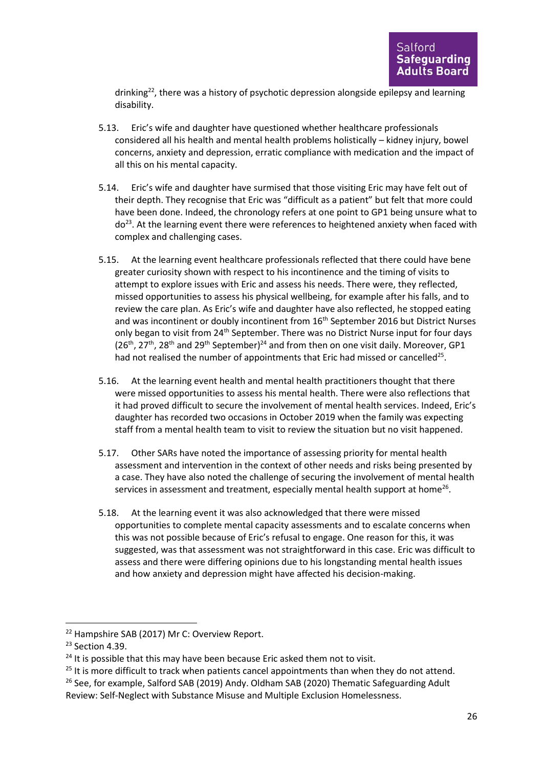drinking $22$ , there was a history of psychotic depression alongside epilepsy and learning disability.

- 5.13. Eric's wife and daughter have questioned whether healthcare professionals considered all his health and mental health problems holistically – kidney injury, bowel concerns, anxiety and depression, erratic compliance with medication and the impact of all this on his mental capacity.
- 5.14. Eric's wife and daughter have surmised that those visiting Eric may have felt out of their depth. They recognise that Eric was "difficult as a patient" but felt that more could have been done. Indeed, the chronology refers at one point to GP1 being unsure what to do<sup>23</sup>. At the learning event there were references to heightened anxiety when faced with complex and challenging cases.
- 5.15. At the learning event healthcare professionals reflected that there could have bene greater curiosity shown with respect to his incontinence and the timing of visits to attempt to explore issues with Eric and assess his needs. There were, they reflected, missed opportunities to assess his physical wellbeing, for example after his falls, and to review the care plan. As Eric's wife and daughter have also reflected, he stopped eating and was incontinent or doubly incontinent from 16<sup>th</sup> September 2016 but District Nurses only began to visit from 24<sup>th</sup> September. There was no District Nurse input for four days  $(26<sup>th</sup>, 27<sup>th</sup>, 28<sup>th</sup>$  and  $29<sup>th</sup>$  September)<sup>24</sup> and from then on one visit daily. Moreover, GP1 had not realised the number of appointments that Eric had missed or cancelled<sup>25</sup>.
- 5.16. At the learning event health and mental health practitioners thought that there were missed opportunities to assess his mental health. There were also reflections that it had proved difficult to secure the involvement of mental health services. Indeed, Eric's daughter has recorded two occasions in October 2019 when the family was expecting staff from a mental health team to visit to review the situation but no visit happened.
- 5.17. Other SARs have noted the importance of assessing priority for mental health assessment and intervention in the context of other needs and risks being presented by a case. They have also noted the challenge of securing the involvement of mental health services in assessment and treatment, especially mental health support at home<sup>26</sup>.
- 5.18. At the learning event it was also acknowledged that there were missed opportunities to complete mental capacity assessments and to escalate concerns when this was not possible because of Eric's refusal to engage. One reason for this, it was suggested, was that assessment was not straightforward in this case. Eric was difficult to assess and there were differing opinions due to his longstanding mental health issues and how anxiety and depression might have affected his decision-making.

<sup>&</sup>lt;sup>22</sup> Hampshire SAB (2017) Mr C: Overview Report.

<sup>&</sup>lt;sup>23</sup> Section 4.39.

 $24$  It is possible that this may have been because Eric asked them not to visit.

 $25$  It is more difficult to track when patients cancel appointments than when they do not attend.

<sup>&</sup>lt;sup>26</sup> See, for example, Salford SAB (2019) Andy. Oldham SAB (2020) Thematic Safeguarding Adult Review: Self-Neglect with Substance Misuse and Multiple Exclusion Homelessness.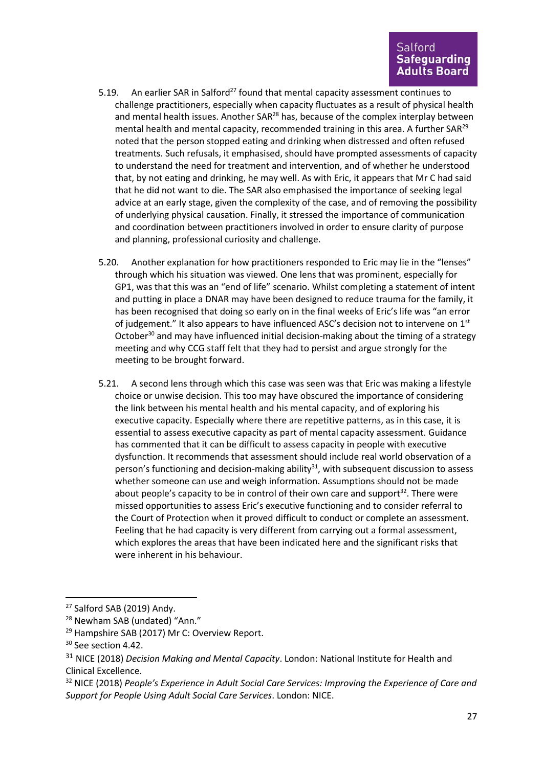- 5.19. An earlier SAR in Salford<sup>27</sup> found that mental capacity assessment continues to challenge practitioners, especially when capacity fluctuates as a result of physical health and mental health issues. Another  $SAR^{28}$  has, because of the complex interplay between mental health and mental capacity, recommended training in this area. A further SAR<sup>29</sup> noted that the person stopped eating and drinking when distressed and often refused treatments. Such refusals, it emphasised, should have prompted assessments of capacity to understand the need for treatment and intervention, and of whether he understood that, by not eating and drinking, he may well. As with Eric, it appears that Mr C had said that he did not want to die. The SAR also emphasised the importance of seeking legal advice at an early stage, given the complexity of the case, and of removing the possibility of underlying physical causation. Finally, it stressed the importance of communication and coordination between practitioners involved in order to ensure clarity of purpose and planning, professional curiosity and challenge.
- 5.20. Another explanation for how practitioners responded to Eric may lie in the "lenses" through which his situation was viewed. One lens that was prominent, especially for GP1, was that this was an "end of life" scenario. Whilst completing a statement of intent and putting in place a DNAR may have been designed to reduce trauma for the family, it has been recognised that doing so early on in the final weeks of Eric's life was "an error of judgement." It also appears to have influenced ASC's decision not to intervene on 1<sup>st</sup> October<sup>30</sup> and may have influenced initial decision-making about the timing of a strategy meeting and why CCG staff felt that they had to persist and argue strongly for the meeting to be brought forward.
- 5.21. A second lens through which this case was seen was that Eric was making a lifestyle choice or unwise decision. This too may have obscured the importance of considering the link between his mental health and his mental capacity, and of exploring his executive capacity. Especially where there are repetitive patterns, as in this case, it is essential to assess executive capacity as part of mental capacity assessment. Guidance has commented that it can be difficult to assess capacity in people with executive dysfunction. It recommends that assessment should include real world observation of a person's functioning and decision-making ability $31$ , with subsequent discussion to assess whether someone can use and weigh information. Assumptions should not be made about people's capacity to be in control of their own care and support<sup>32</sup>. There were missed opportunities to assess Eric's executive functioning and to consider referral to the Court of Protection when it proved difficult to conduct or complete an assessment. Feeling that he had capacity is very different from carrying out a formal assessment, which explores the areas that have been indicated here and the significant risks that were inherent in his behaviour.

<sup>&</sup>lt;sup>27</sup> Salford SAB (2019) Andy.

<sup>&</sup>lt;sup>28</sup> Newham SAB (undated) "Ann."

<sup>&</sup>lt;sup>29</sup> Hampshire SAB (2017) Mr C: Overview Report.

<sup>&</sup>lt;sup>30</sup> See section 4.42.

<sup>31</sup> NICE (2018) *Decision Making and Mental Capacity*. London: National Institute for Health and Clinical Excellence.

<sup>32</sup> NICE (2018) *People's Experience in Adult Social Care Services: Improving the Experience of Care and Support for People Using Adult Social Care Services*. London: NICE.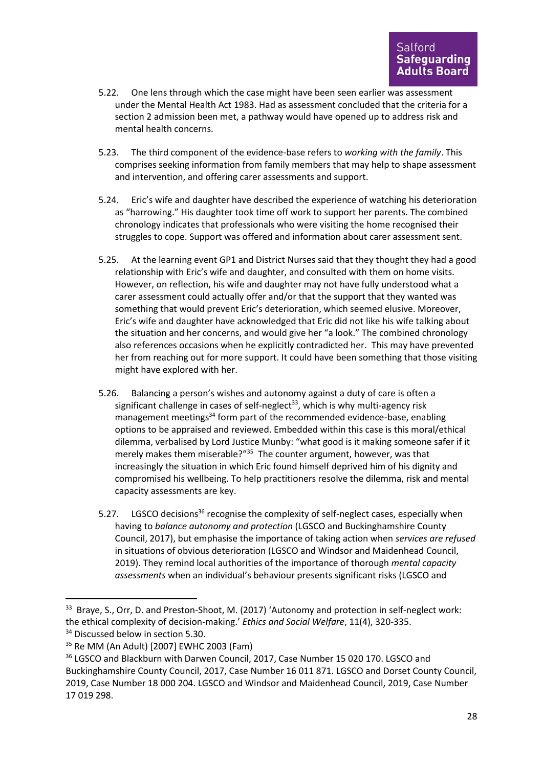- 5.22. One lens through which the case might have been seen earlier was assessment under the Mental Health Act 1983. Had as assessment concluded that the criteria for a section 2 admission been met, a pathway would have opened up to address risk and mental health concerns.
- 5.23. The third component of the evidence-base refers to *working with the family*. This comprises seeking information from family members that may help to shape assessment and intervention, and offering carer assessments and support.
- 5.24. Eric's wife and daughter have described the experience of watching his deterioration as "harrowing." His daughter took time off work to support her parents. The combined chronology indicates that professionals who were visiting the home recognised their struggles to cope. Support was offered and information about carer assessment sent.
- 5.25. At the learning event GP1 and District Nurses said that they thought they had a good relationship with Eric's wife and daughter, and consulted with them on home visits. However, on reflection, his wife and daughter may not have fully understood what a carer assessment could actually offer and/or that the support that they wanted was something that would prevent Eric's deterioration, which seemed elusive. Moreover, Eric's wife and daughter have acknowledged that Eric did not like his wife talking about the situation and her concerns, and would give her "a look." The combined chronology also references occasions when he explicitly contradicted her. This may have prevented her from reaching out for more support. It could have been something that those visiting might have explored with her.
- 5.26. Balancing a person's wishes and autonomy against a duty of care is often a significant challenge in cases of self-neglect<sup>33</sup>, which is why multi-agency risk management meetings<sup>34</sup> form part of the recommended evidence-base, enabling options to be appraised and reviewed. Embedded within this case is this moral/ethical dilemma, verbalised by Lord Justice Munby: "what good is it making someone safer if it merely makes them miserable?"<sup>35</sup> The counter argument, however, was that increasingly the situation in which Eric found himself deprived him of his dignity and compromised his wellbeing. To help practitioners resolve the dilemma, risk and mental capacity assessments are key.
- 5.27. LGSCO decisions<sup>36</sup> recognise the complexity of self-neglect cases, especially when having to *balance autonomy and protection* (LGSCO and Buckinghamshire County Council, 2017), but emphasise the importance of taking action when *services are refused* in situations of obvious deterioration (LGSCO and Windsor and Maidenhead Council, 2019). They remind local authorities of the importance of thorough *mental capacity assessments* when an individual's behaviour presents significant risks (LGSCO and

<sup>&</sup>lt;sup>33</sup> Braye, S., Orr, D. and Preston-Shoot, M. (2017) 'Autonomy and protection in self-neglect work: the ethical complexity of decision-making.' *Ethics and Social Welfare*, 11(4), 320-335.

<sup>&</sup>lt;sup>34</sup> Discussed below in section 5.30.

<sup>35</sup> Re MM (An Adult) [2007] EWHC 2003 (Fam)

<sup>&</sup>lt;sup>36</sup> LGSCO and Blackburn with Darwen Council, 2017, Case Number 15 020 170. LGSCO and Buckinghamshire County Council, 2017, Case Number 16 011 871. LGSCO and Dorset County Council, 2019, Case Number 18 000 204. LGSCO and Windsor and Maidenhead Council, 2019, Case Number 17 019 298.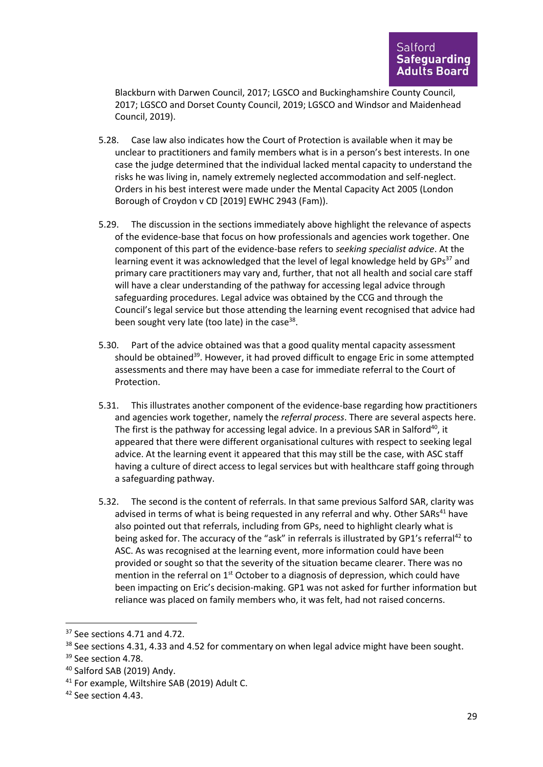Blackburn with Darwen Council, 2017; LGSCO and Buckinghamshire County Council, 2017; LGSCO and Dorset County Council, 2019; LGSCO and Windsor and Maidenhead Council, 2019).

- 5.28. Case law also indicates how the Court of Protection is available when it may be unclear to practitioners and family members what is in a person's best interests. In one case the judge determined that the individual lacked mental capacity to understand the risks he was living in, namely extremely neglected accommodation and self-neglect. Orders in his best interest were made under the Mental Capacity Act 2005 (London Borough of Croydon v CD [2019] EWHC 2943 (Fam)).
- 5.29. The discussion in the sections immediately above highlight the relevance of aspects of the evidence-base that focus on how professionals and agencies work together. One component of this part of the evidence-base refers to *seeking specialist advice*. At the learning event it was acknowledged that the level of legal knowledge held by  $GPs<sup>37</sup>$  and primary care practitioners may vary and, further, that not all health and social care staff will have a clear understanding of the pathway for accessing legal advice through safeguarding procedures. Legal advice was obtained by the CCG and through the Council's legal service but those attending the learning event recognised that advice had been sought very late (too late) in the case<sup>38</sup>.
- 5.30. Part of the advice obtained was that a good quality mental capacity assessment should be obtained<sup>39</sup>. However, it had proved difficult to engage Eric in some attempted assessments and there may have been a case for immediate referral to the Court of Protection.
- 5.31. This illustrates another component of the evidence-base regarding how practitioners and agencies work together, namely the *referral process*. There are several aspects here. The first is the pathway for accessing legal advice. In a previous SAR in Salford<sup>40</sup>, it appeared that there were different organisational cultures with respect to seeking legal advice. At the learning event it appeared that this may still be the case, with ASC staff having a culture of direct access to legal services but with healthcare staff going through a safeguarding pathway.
- 5.32. The second is the content of referrals. In that same previous Salford SAR, clarity was advised in terms of what is being requested in any referral and why. Other SARs<sup>41</sup> have also pointed out that referrals, including from GPs, need to highlight clearly what is being asked for. The accuracy of the "ask" in referrals is illustrated by GP1's referral<sup>42</sup> to ASC. As was recognised at the learning event, more information could have been provided or sought so that the severity of the situation became clearer. There was no mention in the referral on  $1<sup>st</sup>$  October to a diagnosis of depression, which could have been impacting on Eric's decision-making. GP1 was not asked for further information but reliance was placed on family members who, it was felt, had not raised concerns.

<sup>&</sup>lt;sup>37</sup> See sections 4.71 and 4.72.

<sup>&</sup>lt;sup>38</sup> See sections 4.31, 4.33 and 4.52 for commentary on when legal advice might have been sought.

<sup>&</sup>lt;sup>39</sup> See section 4.78.

<sup>40</sup> Salford SAB (2019) Andy.

<sup>41</sup> For example, Wiltshire SAB (2019) Adult C.

<sup>&</sup>lt;sup>42</sup> See section 4.43.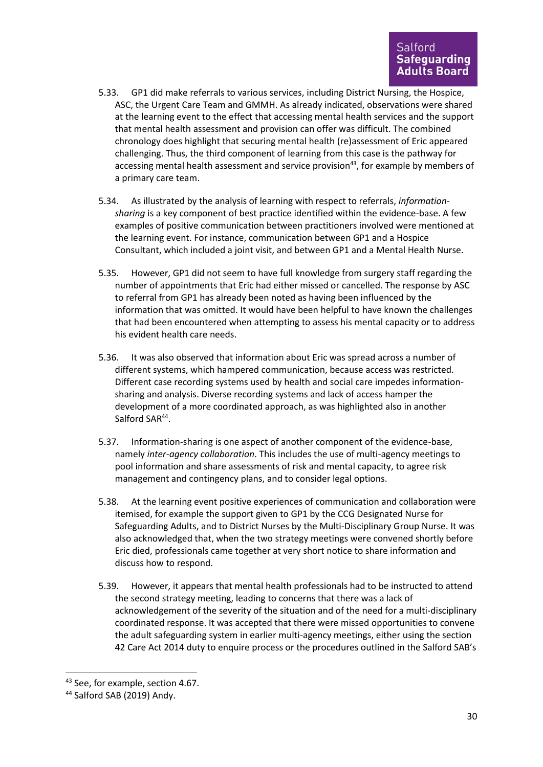- 5.33. GP1 did make referrals to various services, including District Nursing, the Hospice, ASC, the Urgent Care Team and GMMH. As already indicated, observations were shared at the learning event to the effect that accessing mental health services and the support that mental health assessment and provision can offer was difficult. The combined chronology does highlight that securing mental health (re)assessment of Eric appeared challenging. Thus, the third component of learning from this case is the pathway for accessing mental health assessment and service provision<sup>43</sup>, for example by members of a primary care team.
- 5.34. As illustrated by the analysis of learning with respect to referrals, *informationsharing* is a key component of best practice identified within the evidence-base. A few examples of positive communication between practitioners involved were mentioned at the learning event. For instance, communication between GP1 and a Hospice Consultant, which included a joint visit, and between GP1 and a Mental Health Nurse.
- 5.35. However, GP1 did not seem to have full knowledge from surgery staff regarding the number of appointments that Eric had either missed or cancelled. The response by ASC to referral from GP1 has already been noted as having been influenced by the information that was omitted. It would have been helpful to have known the challenges that had been encountered when attempting to assess his mental capacity or to address his evident health care needs.
- 5.36. It was also observed that information about Eric was spread across a number of different systems, which hampered communication, because access was restricted. Different case recording systems used by health and social care impedes informationsharing and analysis. Diverse recording systems and lack of access hamper the development of a more coordinated approach, as was highlighted also in another Salford SAR<sup>44</sup>.
- 5.37. Information-sharing is one aspect of another component of the evidence-base, namely *inter-agency collaboration*. This includes the use of multi-agency meetings to pool information and share assessments of risk and mental capacity, to agree risk management and contingency plans, and to consider legal options.
- 5.38. At the learning event positive experiences of communication and collaboration were itemised, for example the support given to GP1 by the CCG Designated Nurse for Safeguarding Adults, and to District Nurses by the Multi-Disciplinary Group Nurse. It was also acknowledged that, when the two strategy meetings were convened shortly before Eric died, professionals came together at very short notice to share information and discuss how to respond.
- 5.39. However, it appears that mental health professionals had to be instructed to attend the second strategy meeting, leading to concerns that there was a lack of acknowledgement of the severity of the situation and of the need for a multi-disciplinary coordinated response. It was accepted that there were missed opportunities to convene the adult safeguarding system in earlier multi-agency meetings, either using the section 42 Care Act 2014 duty to enquire process or the procedures outlined in the Salford SAB's

<sup>43</sup> See, for example, section 4.67.

<sup>44</sup> Salford SAB (2019) Andy.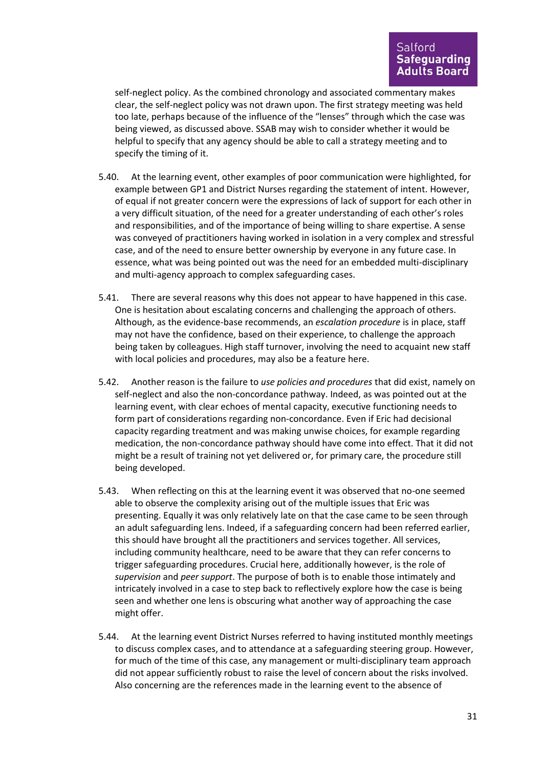self-neglect policy. As the combined chronology and associated commentary makes clear, the self-neglect policy was not drawn upon. The first strategy meeting was held too late, perhaps because of the influence of the "lenses" through which the case was being viewed, as discussed above. SSAB may wish to consider whether it would be helpful to specify that any agency should be able to call a strategy meeting and to specify the timing of it.

- 5.40. At the learning event, other examples of poor communication were highlighted, for example between GP1 and District Nurses regarding the statement of intent. However, of equal if not greater concern were the expressions of lack of support for each other in a very difficult situation, of the need for a greater understanding of each other's roles and responsibilities, and of the importance of being willing to share expertise. A sense was conveyed of practitioners having worked in isolation in a very complex and stressful case, and of the need to ensure better ownership by everyone in any future case. In essence, what was being pointed out was the need for an embedded multi-disciplinary and multi-agency approach to complex safeguarding cases.
- 5.41. There are several reasons why this does not appear to have happened in this case. One is hesitation about escalating concerns and challenging the approach of others. Although, as the evidence-base recommends, an *escalation procedure* is in place, staff may not have the confidence, based on their experience, to challenge the approach being taken by colleagues. High staff turnover, involving the need to acquaint new staff with local policies and procedures, may also be a feature here.
- 5.42. Another reason is the failure to *use policies and procedures* that did exist, namely on self-neglect and also the non-concordance pathway. Indeed, as was pointed out at the learning event, with clear echoes of mental capacity, executive functioning needs to form part of considerations regarding non-concordance. Even if Eric had decisional capacity regarding treatment and was making unwise choices, for example regarding medication, the non-concordance pathway should have come into effect. That it did not might be a result of training not yet delivered or, for primary care, the procedure still being developed.
- 5.43. When reflecting on this at the learning event it was observed that no-one seemed able to observe the complexity arising out of the multiple issues that Eric was presenting. Equally it was only relatively late on that the case came to be seen through an adult safeguarding lens. Indeed, if a safeguarding concern had been referred earlier, this should have brought all the practitioners and services together. All services, including community healthcare, need to be aware that they can refer concerns to trigger safeguarding procedures. Crucial here, additionally however, is the role of *supervision* and *peer support*. The purpose of both is to enable those intimately and intricately involved in a case to step back to reflectively explore how the case is being seen and whether one lens is obscuring what another way of approaching the case might offer.
- 5.44. At the learning event District Nurses referred to having instituted monthly meetings to discuss complex cases, and to attendance at a safeguarding steering group. However, for much of the time of this case, any management or multi-disciplinary team approach did not appear sufficiently robust to raise the level of concern about the risks involved. Also concerning are the references made in the learning event to the absence of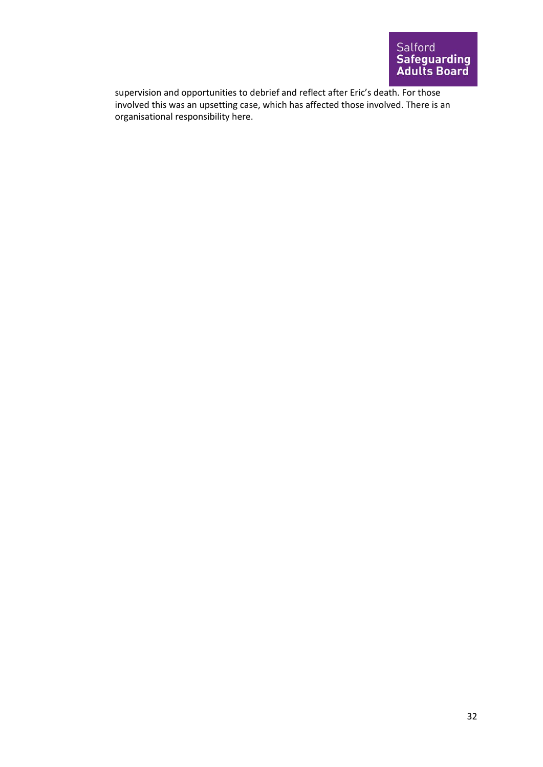supervision and opportunities to debrief and reflect after Eric's death. For those involved this was an upsetting case, which has affected those involved. There is an organisational responsibility here.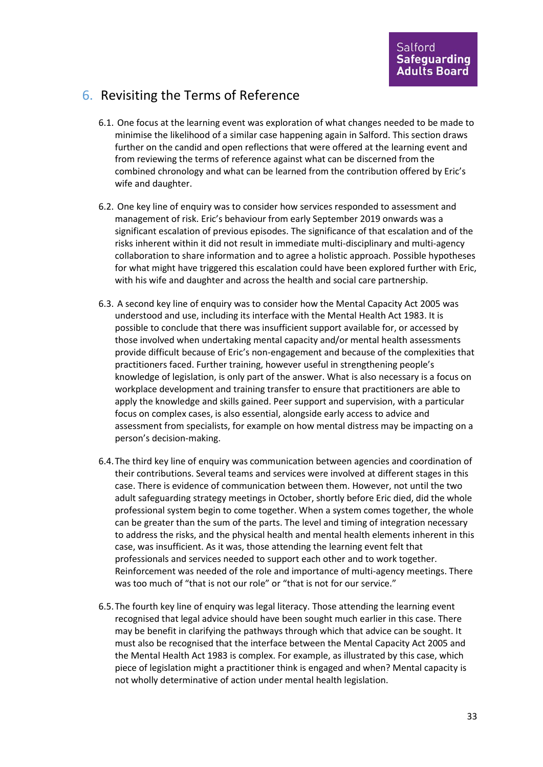### 6. Revisiting the Terms of Reference

- 6.1. One focus at the learning event was exploration of what changes needed to be made to minimise the likelihood of a similar case happening again in Salford. This section draws further on the candid and open reflections that were offered at the learning event and from reviewing the terms of reference against what can be discerned from the combined chronology and what can be learned from the contribution offered by Eric's wife and daughter.
- 6.2. One key line of enquiry was to consider how services responded to assessment and management of risk. Eric's behaviour from early September 2019 onwards was a significant escalation of previous episodes. The significance of that escalation and of the risks inherent within it did not result in immediate multi-disciplinary and multi-agency collaboration to share information and to agree a holistic approach. Possible hypotheses for what might have triggered this escalation could have been explored further with Eric, with his wife and daughter and across the health and social care partnership.
- 6.3. A second key line of enquiry was to consider how the Mental Capacity Act 2005 was understood and use, including its interface with the Mental Health Act 1983. It is possible to conclude that there was insufficient support available for, or accessed by those involved when undertaking mental capacity and/or mental health assessments provide difficult because of Eric's non-engagement and because of the complexities that practitioners faced. Further training, however useful in strengthening people's knowledge of legislation, is only part of the answer. What is also necessary is a focus on workplace development and training transfer to ensure that practitioners are able to apply the knowledge and skills gained. Peer support and supervision, with a particular focus on complex cases, is also essential, alongside early access to advice and assessment from specialists, for example on how mental distress may be impacting on a person's decision-making.
- 6.4.The third key line of enquiry was communication between agencies and coordination of their contributions. Several teams and services were involved at different stages in this case. There is evidence of communication between them. However, not until the two adult safeguarding strategy meetings in October, shortly before Eric died, did the whole professional system begin to come together. When a system comes together, the whole can be greater than the sum of the parts. The level and timing of integration necessary to address the risks, and the physical health and mental health elements inherent in this case, was insufficient. As it was, those attending the learning event felt that professionals and services needed to support each other and to work together. Reinforcement was needed of the role and importance of multi-agency meetings. There was too much of "that is not our role" or "that is not for our service."
- 6.5.The fourth key line of enquiry was legal literacy. Those attending the learning event recognised that legal advice should have been sought much earlier in this case. There may be benefit in clarifying the pathways through which that advice can be sought. It must also be recognised that the interface between the Mental Capacity Act 2005 and the Mental Health Act 1983 is complex. For example, as illustrated by this case, which piece of legislation might a practitioner think is engaged and when? Mental capacity is not wholly determinative of action under mental health legislation.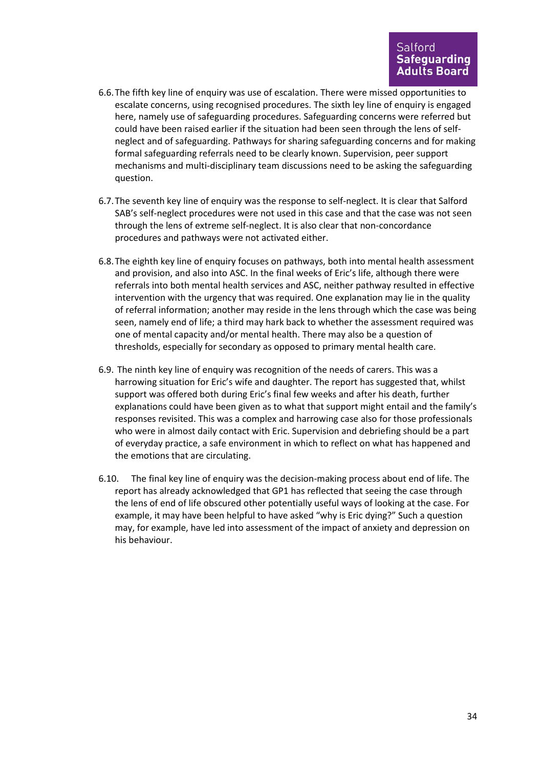- 6.6.The fifth key line of enquiry was use of escalation. There were missed opportunities to escalate concerns, using recognised procedures. The sixth ley line of enquiry is engaged here, namely use of safeguarding procedures. Safeguarding concerns were referred but could have been raised earlier if the situation had been seen through the lens of selfneglect and of safeguarding. Pathways for sharing safeguarding concerns and for making formal safeguarding referrals need to be clearly known. Supervision, peer support mechanisms and multi-disciplinary team discussions need to be asking the safeguarding question.
- 6.7.The seventh key line of enquiry was the response to self-neglect. It is clear that Salford SAB's self-neglect procedures were not used in this case and that the case was not seen through the lens of extreme self-neglect. It is also clear that non-concordance procedures and pathways were not activated either.
- 6.8.The eighth key line of enquiry focuses on pathways, both into mental health assessment and provision, and also into ASC. In the final weeks of Eric's life, although there were referrals into both mental health services and ASC, neither pathway resulted in effective intervention with the urgency that was required. One explanation may lie in the quality of referral information; another may reside in the lens through which the case was being seen, namely end of life; a third may hark back to whether the assessment required was one of mental capacity and/or mental health. There may also be a question of thresholds, especially for secondary as opposed to primary mental health care.
- 6.9. The ninth key line of enquiry was recognition of the needs of carers. This was a harrowing situation for Eric's wife and daughter. The report has suggested that, whilst support was offered both during Eric's final few weeks and after his death, further explanations could have been given as to what that support might entail and the family's responses revisited. This was a complex and harrowing case also for those professionals who were in almost daily contact with Eric. Supervision and debriefing should be a part of everyday practice, a safe environment in which to reflect on what has happened and the emotions that are circulating.
- 6.10. The final key line of enquiry was the decision-making process about end of life. The report has already acknowledged that GP1 has reflected that seeing the case through the lens of end of life obscured other potentially useful ways of looking at the case. For example, it may have been helpful to have asked "why is Eric dying?" Such a question may, for example, have led into assessment of the impact of anxiety and depression on his behaviour.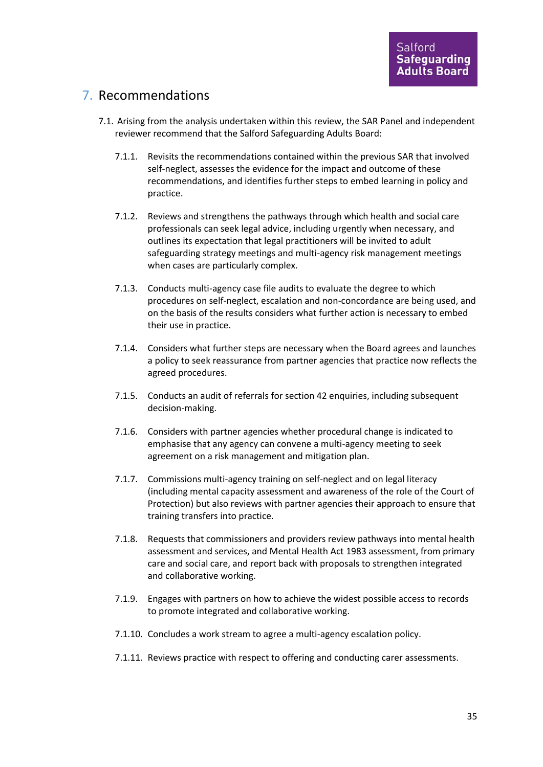## 7. Recommendations

- 7.1. Arising from the analysis undertaken within this review, the SAR Panel and independent reviewer recommend that the Salford Safeguarding Adults Board:
	- 7.1.1. Revisits the recommendations contained within the previous SAR that involved self-neglect, assesses the evidence for the impact and outcome of these recommendations, and identifies further steps to embed learning in policy and practice.
	- 7.1.2. Reviews and strengthens the pathways through which health and social care professionals can seek legal advice, including urgently when necessary, and outlines its expectation that legal practitioners will be invited to adult safeguarding strategy meetings and multi-agency risk management meetings when cases are particularly complex.
	- 7.1.3. Conducts multi-agency case file audits to evaluate the degree to which procedures on self-neglect, escalation and non-concordance are being used, and on the basis of the results considers what further action is necessary to embed their use in practice.
	- 7.1.4. Considers what further steps are necessary when the Board agrees and launches a policy to seek reassurance from partner agencies that practice now reflects the agreed procedures.
	- 7.1.5. Conducts an audit of referrals for section 42 enquiries, including subsequent decision-making.
	- 7.1.6. Considers with partner agencies whether procedural change is indicated to emphasise that any agency can convene a multi-agency meeting to seek agreement on a risk management and mitigation plan.
	- 7.1.7. Commissions multi-agency training on self-neglect and on legal literacy (including mental capacity assessment and awareness of the role of the Court of Protection) but also reviews with partner agencies their approach to ensure that training transfers into practice.
	- 7.1.8. Requests that commissioners and providers review pathways into mental health assessment and services, and Mental Health Act 1983 assessment, from primary care and social care, and report back with proposals to strengthen integrated and collaborative working.
	- 7.1.9. Engages with partners on how to achieve the widest possible access to records to promote integrated and collaborative working.
	- 7.1.10. Concludes a work stream to agree a multi-agency escalation policy.
	- 7.1.11. Reviews practice with respect to offering and conducting carer assessments.